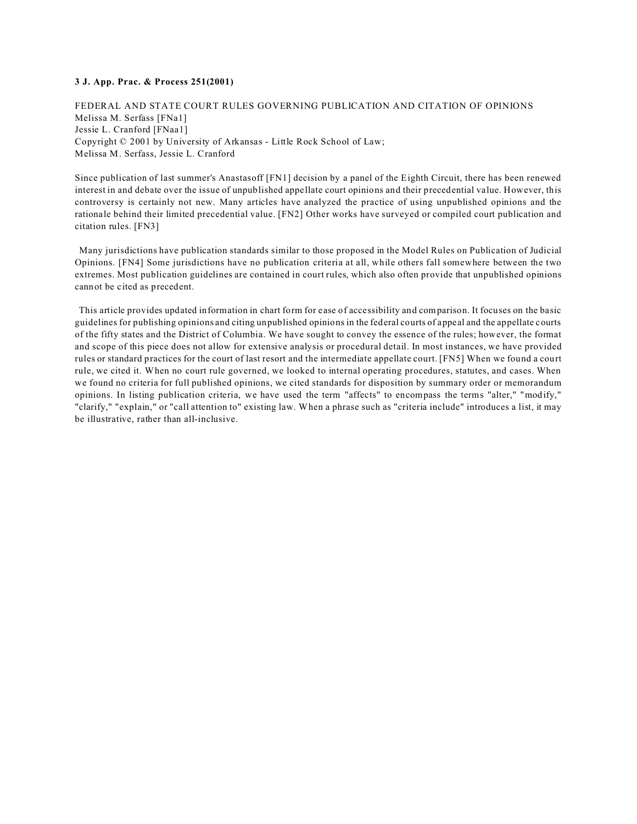# **3 J. App. Prac. & Process 251(2001)**

FEDERAL AND STATE COURT RULES GOVERNING PUBLICATION AND CITATION OF OPINIONS Melissa M. Serfass [FNa1] Jessie L. Cranford [FNaa1] Copyright © 2001 by University of Arkansas - Little Rock School of Law; Melissa M. Serfass, Jessie L. Cranford

Since publication of last summer's Anastasoff [FN1] decision by a panel of the Eighth Circuit, there has been renewed interest in and debate over the issue of unpublished appellate court opinions and their precedential value. However, this controversy is certainly not new. Many articles have analyzed the practice of using unpublished opinions and the rationale behind their limited precedential value. [FN2] Other works have surveyed or compiled court publication and citation rules. [FN3]

 Many jurisdictions have publication standards similar to those proposed in the Model Rules on Publication of Judicial Opinions. [FN4] Some jurisdictions have no publication criteria at all, while others fall somewhere between the two extremes. Most publication guidelines are contained in court rules, which also often provide that unpublished opinions cannot be cited as precedent.

 This article provides updated information in chart form for ease of accessibility and comparison. It focuses on the basic guidelines for publishing opinions and citing unpublished opinions in the federal courts of appeal and the appellate courts of the fifty states and the District of Columbia. We have sought to convey the essence of the rules; however, the format and scope of this piece does not allow for extensive analysis or procedural detail. In most instances, we have provided rules or standard practices for the court of last resort and the intermediate appellate court. [FN5] When we found a court rule, we cited it. When no court rule governed, we looked to internal operating procedures, statutes, and cases. When we found no criteria for full published opinions, we cited standards for disposition by summary order or memorandum opinions. In listing publication criteria, we have used the term "affects" to encompass the terms "alter," "modify," "clarify," "explain," or "call attention to" existing law. When a phrase such as "criteria include" introduces a list, it may be illustrative, rather than all-inclusive.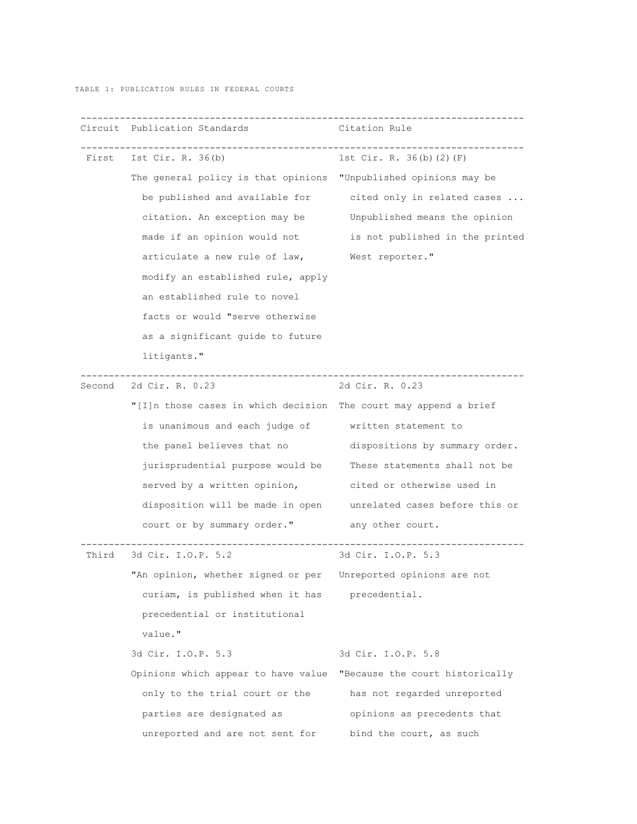TABLE 1: PUBLICATION RULES IN FEDERAL COURTS

|        | Circuit Publication Standards                                    | Citation Rule                                              |
|--------|------------------------------------------------------------------|------------------------------------------------------------|
|        | First Ist Cir. R. 36(b)                                          | 1st Cir. R. 36(b)(2)(F)                                    |
|        | The general policy is that opinions "Unpublished opinions may be |                                                            |
|        |                                                                  | be published and available for cited only in related cases |
|        | citation. An exception may be Unpublished means the opinion      |                                                            |
|        | made if an opinion would not                                     | is not published in the printed                            |
|        | articulate a new rule of law, West reporter."                    |                                                            |
|        | modify an established rule, apply                                |                                                            |
|        | an established rule to novel                                     |                                                            |
|        | facts or would "serve otherwise                                  |                                                            |
|        | as a significant guide to future                                 |                                                            |
|        | litigants."                                                      |                                                            |
| Second | 2d Cir. R. 0.23                                                  | 2d Cir. R. 0.23                                            |
|        | "[I]n those cases in which decision The court may append a brief |                                                            |
|        | is unanimous and each judge of written statement to              |                                                            |
|        | the panel believes that no                                       | dispositions by summary order.                             |
|        | jurisprudential purpose would be                                 | These statements shall not be                              |
|        | served by a written opinion, but cited or otherwise used in      |                                                            |
|        | disposition will be made in open unrelated cases before this or  |                                                            |
|        | court or by summary order."                                      | any other court.                                           |
|        | --------------------<br>Third 3d Cir. I.O.P. 5.2                 | 3d Cir. I.O.P. 5.3                                         |
|        | "An opinion, whether signed or per Unreported opinions are not   |                                                            |
|        | curiam, is published when it has precedential.                   |                                                            |
|        | precedential or institutional                                    |                                                            |
|        | value."                                                          |                                                            |
|        | 3d Cir. I.O.P. 5.3                                               | 3d Cir. I.O.P. 5.8                                         |
|        | Opinions which appear to have value                              | "Because the court historically                            |
|        | only to the trial court or the                                   | has not regarded unreported                                |
|        | parties are designated as                                        | opinions as precedents that                                |
|        | unreported and are not sent for                                  | bind the court, as such                                    |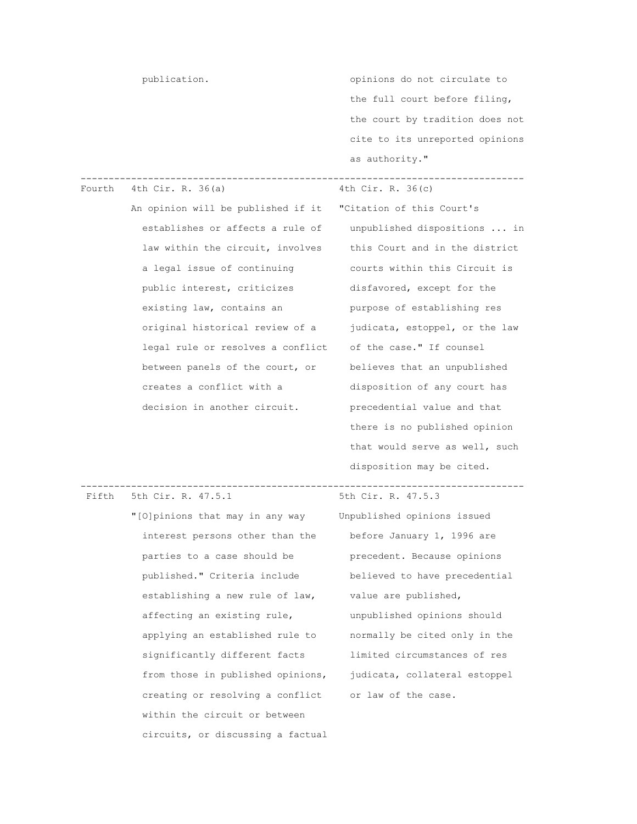publication.  $\qquad \qquad \text{opitions do not circulate to}$  the full court before filing, the court by tradition does not cite to its unreported opinions as authority."

## ------------------------------------------------------------------------------- Fourth  $4th Cir. R. 36(a)$

 An opinion will be published if it "Citation of this Court's establishes or affects a rule of unpublished dispositions ... in law within the circuit, involves this Court and in the district a legal issue of continuing courts within this Circuit is public interest, criticizes disfavored, except for the existing law, contains an Theory purpose of establishing res original historical review of a judicata, estoppel, or the law legal rule or resolves a conflict of the case." If counsel between panels of the court, or believes that an unpublished creates a conflict with a disposition of any court has decision in another circuit. <br>precedential value and that

 there is no published opinion that would serve as well, such disposition may be cited.

Fifth  $5th$  Cir. R.  $47.5.1$ 

```
 "[O]pinions that may in any way Unpublished opinions issued 
 interest persons other than the before January 1, 1996 are 
parties to a case should be precedent. Because opinions
 published." Criteria include believed to have precedential 
establishing a new rule of law, value are published,
 affecting an existing rule, unpublished opinions should 
 applying an established rule to normally be cited only in the 
 significantly different facts limited circumstances of res 
 from those in published opinions, judicata, collateral estoppel 
 creating or resolving a conflict or law of the case. 
 within the circuit or between 
 circuits, or discussing a factual
```
-------------------------------------------------------------------------------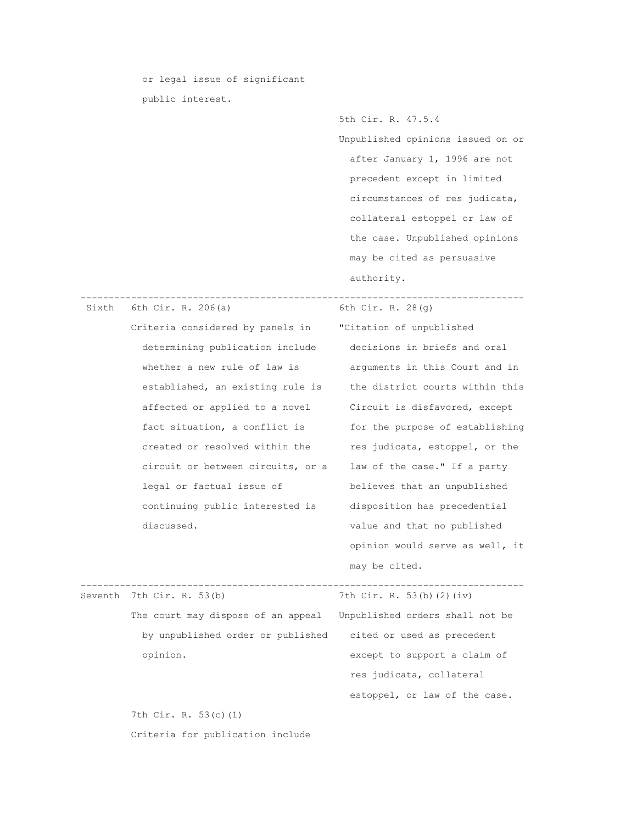or legal issue of significant public interest.

> Unpublished opinions issued on or after January 1, 1996 are not precedent except in limited circumstances of res judicata, collateral estoppel or law of the case. Unpublished opinions may be cited as persuasive authority.

5th Cir. R. 47.5.4

| Sixth | 6th Cir. R. 206(a)                 | 6th Cir. R. $28(q)$             |
|-------|------------------------------------|---------------------------------|
|       | Criteria considered by panels in   | "Citation of unpublished        |
|       | determining publication include    | decisions in briefs and oral    |
|       | whether a new rule of law is       | arguments in this Court and in  |
|       | established, an existing rule is   | the district courts within this |
|       | affected or applied to a novel     | Circuit is disfavored, except   |
|       | fact situation, a conflict is      | for the purpose of establishing |
|       | created or resolved within the     | res judicata, estoppel, or the  |
|       | circuit or between circuits, or a  | law of the case." If a party    |
|       | legal or factual issue of          | believes that an unpublished    |
|       | continuing public interested is    | disposition has precedential    |
|       | discussed.                         | value and that no published     |
|       |                                    | opinion would serve as well, it |
|       |                                    | may be cited.                   |
|       | Seventh 7th Cir. R. 53(b)          | 7th Cir. R. 53(b)(2)(iv)        |
|       | The court may dispose of an appeal | Unpublished orders shall not be |
|       | by unpublished order or published  | cited or used as precedent      |
|       | opinion.                           | except to support a claim of    |
|       |                                    | res judicata, collateral        |
|       |                                    | estoppel, or law of the case.   |
|       | 7th Cir. R. 53(c)(1)               |                                 |
|       | Criteria for publication include   |                                 |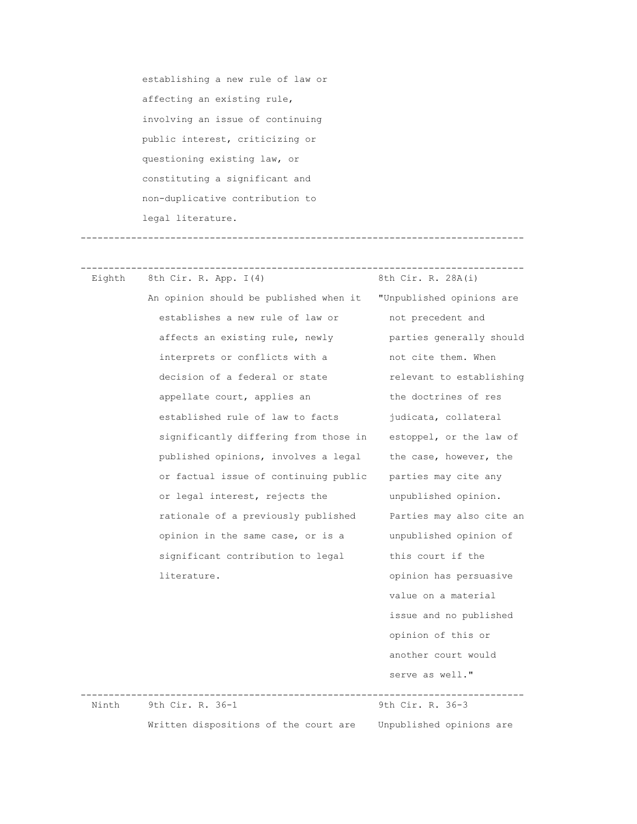establishing a new rule of law or affecting an existing rule, involving an issue of continuing public interest, criticizing or questioning existing law, or constituting a significant and non-duplicative contribution to legal literature.

-------------------------------------------------------------------------------

Eighth 8th Cir. R. App.  $I(4)$  8th Cir. R. 28A(i) An opinion should be published when it "Unpublished opinions are establishes a new rule of law or hot precedent and affects an existing rule, newly parties generally should interprets or conflicts with a not cite them. When decision of a federal or state relevant to establishing appellate court, applies an the doctrines of res established rule of law to facts judicata, collateral significantly differing from those in estoppel, or the law of published opinions, involves a legal the case, however, the or factual issue of continuing public parties may cite any or legal interest, rejects the unpublished opinion. rationale of a previously published Parties may also cite an opinion in the same case, or is a unpublished opinion of significant contribution to legal this court if the literature.  $opinion$  has persuasive

-------------------------------------------------------------------------------

 value on a material issue and no published opinion of this or another court would serve as well."

 ------------------------------------------------------------------------------- Ninth 9th Cir. R. 36-1 Written dispositions of the court are Unpublished opinions are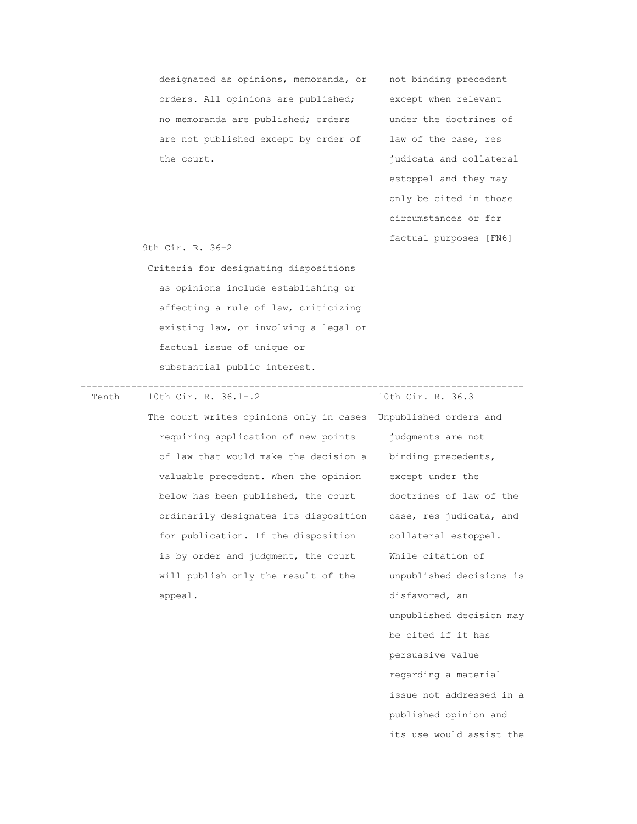designated as opinions, memoranda, or not binding precedent orders. All opinions are published; except when relevant no memoranda are published; orders under the doctrines of are not published except by order of law of the case, res the court.  $judicata$  and collateral

 estoppel and they may only be cited in those circumstances or for factual purposes [FN6]

9th Cir. R. 36-2

 Criteria for designating dispositions as opinions include establishing or affecting a rule of law, criticizing existing law, or involving a legal or factual issue of unique or substantial public interest.

10th Cir. R. 36.1-.2

-------------------------------------------------------------------------------

 The court writes opinions only in cases Unpublished orders and requiring application of new points judgments are not of law that would make the decision a binding precedents, valuable precedent. When the opinion except under the below has been published, the court doctrines of law of the ordinarily designates its disposition case, res judicata, and for publication. If the disposition collateral estoppel. is by order and judgment, the court While citation of will publish only the result of the unpublished decisions is appeal. **a** appeal.

 unpublished decision may be cited if it has persuasive value regarding a material issue not addressed in a published opinion and its use would assist the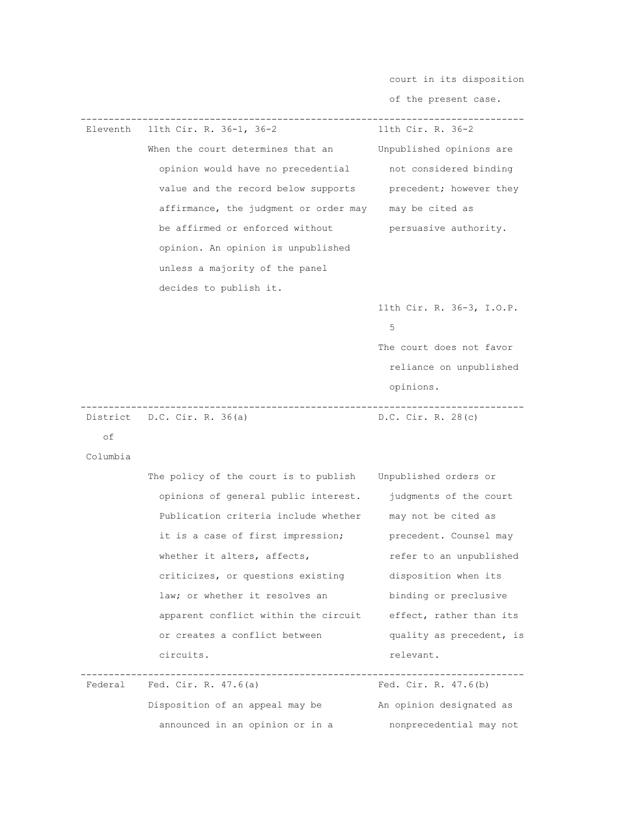court in its disposition

 of the present case. ------------------------------------------------------------------------------- Eleventh  $11th$  Cir. R. 36-1, 36-2 When the court determines that an Unpublished opinions are opinion would have no precedential not considered binding value and the record below supports precedent; however they affirmance, the judgment or order may may be cited as be affirmed or enforced without persuasive authority. opinion. An opinion is unpublished unless a majority of the panel decides to publish it. 11th Cir. R. 36-3, I.O.P.  $\sim$  5 The court does not favor reliance on unpublished opinions. ------------------------------------------------------------------------------- District D.C. Cir. R. 36(a) of Columbia The policy of the court is to publish Unpublished orders or opinions of general public interest. judgments of the court Publication criteria include whether may not be cited as it is a case of first impression; precedent. Counsel may whether it alters, affects, refer to an unpublished criticizes, or questions existing disposition when its law; or whether it resolves an binding or preclusive apparent conflict within the circuit effect, rather than its or creates a conflict between quality as precedent, is circuits. The contract of the contract of the contract of the contract of the contract of the contract of the contract of the contract of the contract of the contract of the contract of the contract of the contract of the ------------------------------------------------------------------------------- Fed. Cir. R.  $47.6(a)$ 

Disposition of an appeal may be An opinion designated as announced in an opinion or in a monprecedential may not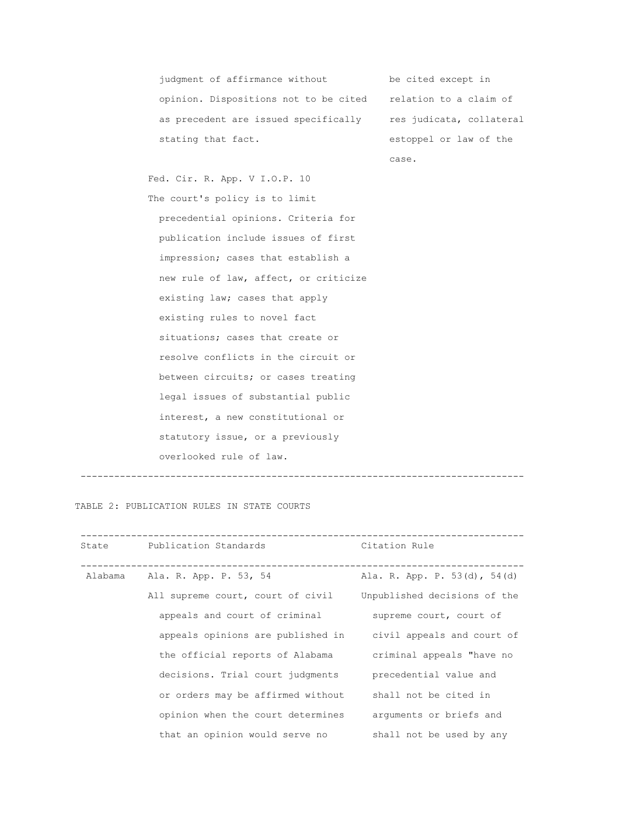judgment of affirmance without be cited except in opinion. Dispositions not to be cited relation to a claim of as precedent are issued specifically res judicata, collateral stating that fact.  $\qquad \qquad$  estoppel or law of the

case.

 Fed. Cir. R. App. V I.O.P. 10 The court's policy is to limit precedential opinions. Criteria for publication include issues of first impression; cases that establish a new rule of law, affect, or criticize existing law; cases that apply existing rules to novel fact situations; cases that create or resolve conflicts in the circuit or between circuits; or cases treating legal issues of substantial public interest, a new constitutional or statutory issue, or a previously overlooked rule of law.

-------------------------------------------------------------------------------

TABLE 2: PUBLICATION RULES IN STATE COURTS

| State | Publication Standards             | Citation Rule                |
|-------|-----------------------------------|------------------------------|
|       | Alabama Ala. R. App. P. 53, 54    | Ala. R. App. P. 53(d), 54(d) |
|       | All supreme court, court of civil | Unpublished decisions of the |
|       | appeals and court of criminal     | supreme court, court of      |
|       | appeals opinions are published in | civil appeals and court of   |
|       | the official reports of Alabama   | criminal appeals "have no    |
|       | decisions. Trial court judgments  | precedential value and       |
|       | or orders may be affirmed without | shall not be cited in        |
|       | opinion when the court determines | arguments or briefs and      |
|       | that an opinion would serve no    | shall not be used by any     |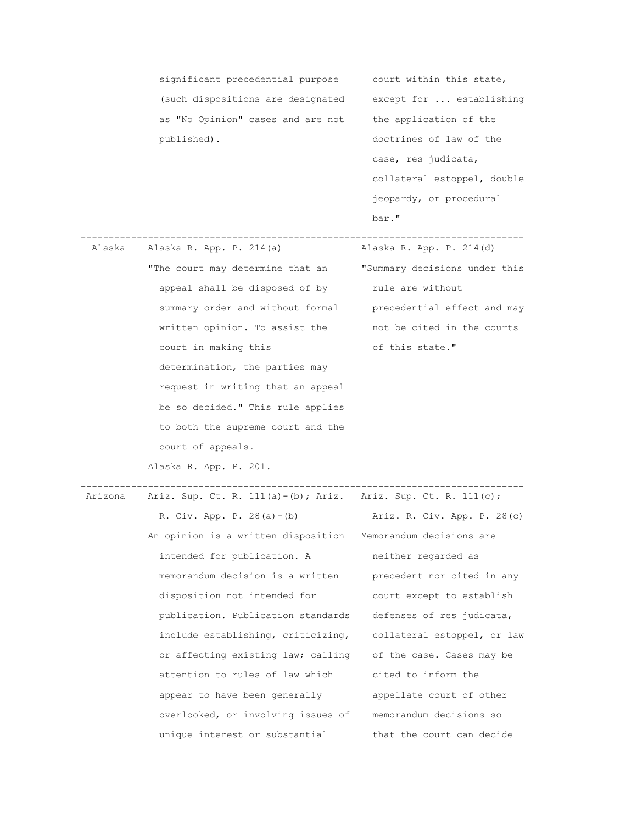significant precedential purpose court within this state, (such dispositions are designated except for ... establishing as "No Opinion" cases and are not the application of the published). doctrines of law of the

 case, res judicata, collateral estoppel, double jeopardy, or procedural bar."

 Alaska Alaska R. App. P. 214(a) Alaska R. App. P. 214(d) "The court may determine that an "Summary decisions under this appeal shall be disposed of by rule are without summary order and without formal precedential effect and may written opinion. To assist the not be cited in the courts court in making this state." determination, the parties may request in writing that an appeal be so decided." This rule applies to both the supreme court and the court of appeals.

Alaska R. App. P. 201.

 ------------------------------------------------------------------------------- Arizona Ariz. Sup. Ct. R. 111(a)-(b); Ariz. Ariz. Sup. Ct. R. 111(c); R. Civ. App. P. 28(a)-(b) Ariz. R. Civ. App. P. 28(c) An opinion is a written disposition Memorandum decisions are intended for publication. A neither regarded as memorandum decision is a written precedent nor cited in any disposition not intended for court except to establish publication. Publication standards defenses of res judicata, include establishing, criticizing, collateral estoppel, or law or affecting existing law; calling of the case. Cases may be attention to rules of law which cited to inform the appear to have been generally appellate court of other overlooked, or involving issues of memorandum decisions so unique interest or substantial that the court can decide

-------------------------------------------------------------------------------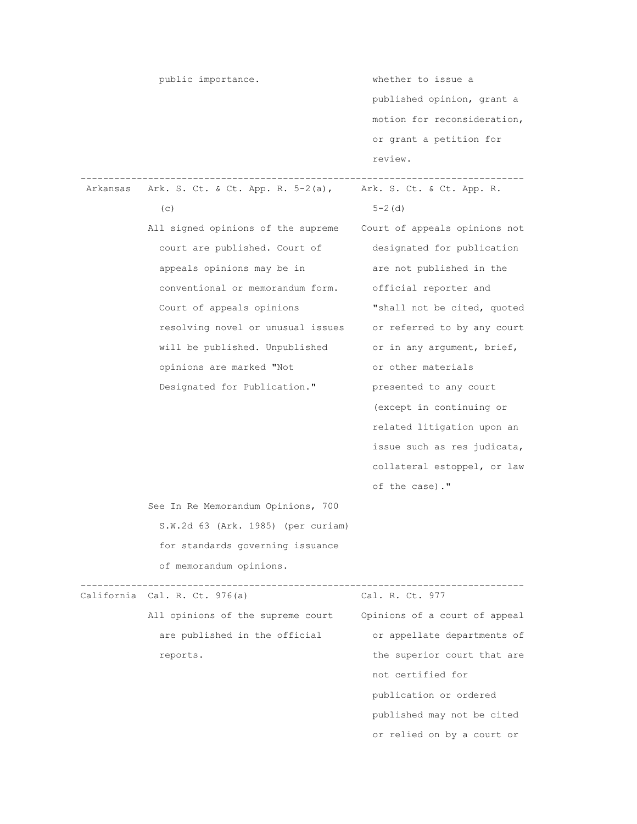|          | public importance.                 | whether to issue a            |
|----------|------------------------------------|-------------------------------|
|          |                                    | published opinion, grant a    |
|          |                                    | motion for reconsideration,   |
|          |                                    | or grant a petition for       |
|          |                                    | review.                       |
|          |                                    |                               |
| Arkansas | Ark. S. Ct. & Ct. App. R. 5-2(a),  | Ark. S. Ct. & Ct. App. R.     |
|          | (C)                                | $5 - 2$ (d)                   |
|          | All signed opinions of the supreme | Court of appeals opinions not |
|          | court are published. Court of      | designated for publication    |
|          | appeals opinions may be in         | are not published in the      |
|          | conventional or memorandum form.   | official reporter and         |
|          | Court of appeals opinions          | "shall not be cited, quoted   |
|          | resolving novel or unusual issues  | or referred to by any court   |
|          | will be published. Unpublished     | or in any argument, brief,    |
|          | opinions are marked "Not           | or other materials            |
|          | Designated for Publication."       | presented to any court        |
|          |                                    | (except in continuing or      |
|          |                                    | related litigation upon an    |
|          |                                    | issue such as res judicata,   |
|          |                                    | collateral estoppel, or law   |
|          |                                    | of the case)."                |
|          | See In Re Memorandum Opinions, 700 |                               |
|          | S.W.2d 63 (Ark. 1985) (per curiam) |                               |
|          | for standards governing issuance   |                               |
|          | of memorandum opinions.            |                               |
|          |                                    |                               |
|          | California Cal. R. Ct. 976(a)      | Cal. R. Ct. 977               |
|          | All opinions of the supreme court  | Opinions of a court of appeal |
|          | are published in the official      | or appellate departments of   |
|          | reports.                           | the superior court that are   |
|          |                                    | not certified for             |
|          |                                    | publication or ordered        |
|          |                                    | published may not be cited    |
|          |                                    | or relied on by a court or    |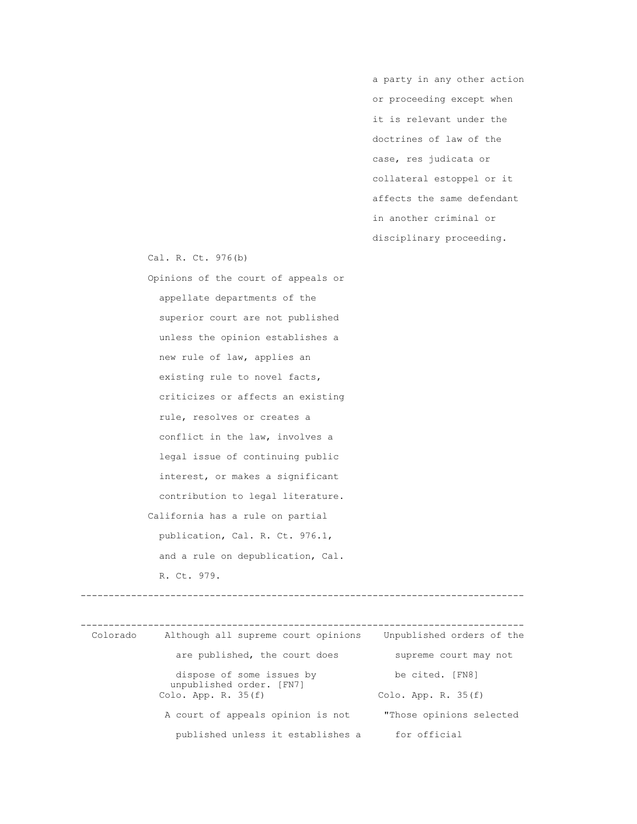a party in any other action or proceeding except when it is relevant under the doctrines of law of the case, res judicata or collateral estoppel or it affects the same defendant in another criminal or disciplinary proceeding.

Cal. R. Ct. 976(b)

 Opinions of the court of appeals or appellate departments of the superior court are not published unless the opinion establishes a new rule of law, applies an existing rule to novel facts, criticizes or affects an existing rule, resolves or creates a conflict in the law, involves a legal issue of continuing public interest, or makes a significant contribution to legal literature. California has a rule on partial publication, Cal. R. Ct. 976.1, and a rule on depublication, Cal. R. Ct. 979.

 ------------------------------------------------------------------------------- Colorado Although all supreme court opinions Unpublished orders of the are published, the court does supreme court may not dispose of some issues by be cited. [FN8] unpublished order. [FN7]<br>Colo. App. R. 35(f) Colo. App. R.  $35(f)$  A court of appeals opinion is not "Those opinions selected published unless it establishes a for official

-------------------------------------------------------------------------------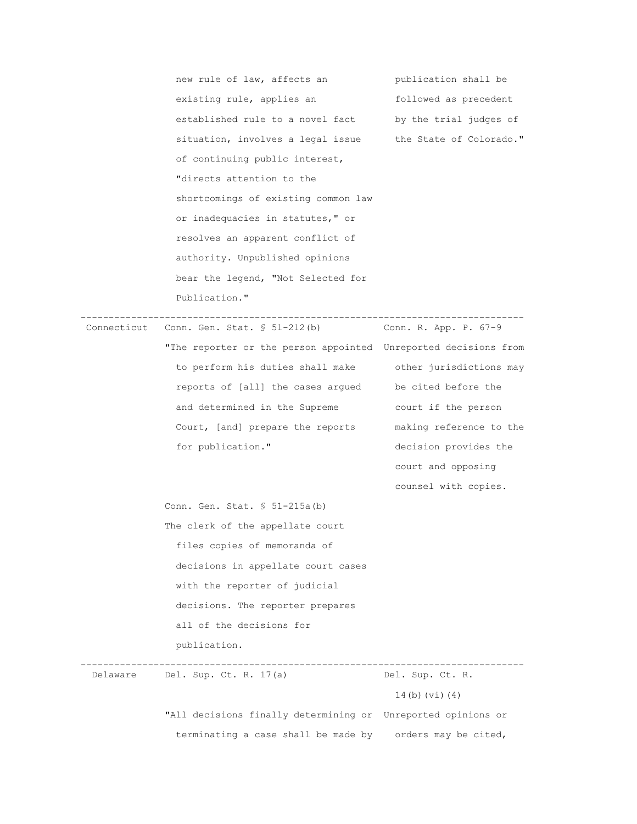new rule of law, affects an bublication shall be existing rule, applies an followed as precedent established rule to a novel fact by the trial judges of situation, involves a legal issue the State of Colorado." of continuing public interest, "directs attention to the shortcomings of existing common law or inadequacies in statutes," or resolves an apparent conflict of authority. Unpublished opinions bear the legend, "Not Selected for Publication." ------------------------------------------------------------------------------- Connecticut Conn. Gen. Stat.  $$51-212(b)$  "The reporter or the person appointed Unreported decisions from to perform his duties shall make other jurisdictions may reports of [all] the cases argued be cited before the and determined in the Supreme court if the person Court, [and] prepare the reports making reference to the for publication." decision provides the court and opposing counsel with copies. Conn. Gen. Stat. § 51-215a(b) The clerk of the appellate court files copies of memoranda of decisions in appellate court cases with the reporter of judicial decisions. The reporter prepares all of the decisions for publication. -------------------------------------------------------------------------------

Delaware Del. Sup. Ct. R. 17(a) Del. Sup. Ct. R. 14(b)(vi)(4)

> "All decisions finally determining or Unreported opinions or terminating a case shall be made by orders may be cited,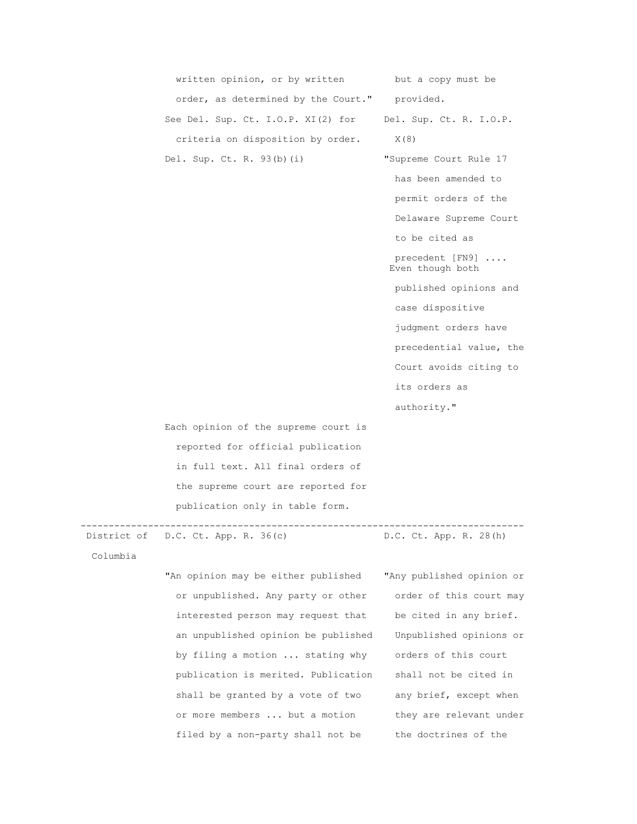| written opinion, or by written       | but a copy must be                  |
|--------------------------------------|-------------------------------------|
| order, as determined by the Court."  | provided.                           |
| See Del. Sup. Ct. I.O.P. XI(2) for   | Del. Sup. Ct. R. I.O.P.             |
| criteria on disposition by order.    | X(8)                                |
| Del. Sup. Ct. R. $93(b)$ (i)         | "Supreme Court Rule 17              |
|                                      | has been amended to                 |
|                                      | permit orders of the                |
|                                      | Delaware Supreme Court              |
|                                      | to be cited as                      |
|                                      | precedent [FN9]<br>Even though both |
|                                      | published opinions and              |
|                                      | case dispositive                    |
|                                      | judgment orders have                |
|                                      | precedential value, the             |
|                                      | Court avoids citing to              |
|                                      | its orders as                       |
|                                      | authority."                         |
| Each opinion of the supreme court is |                                     |
| reported for official publication    |                                     |
| in full text. All final orders of    |                                     |
| the supreme court are reported for   |                                     |
| publication only in table form.      |                                     |
|                                      |                                     |

-------------------------------------------------------------------------------

District of D.C. Ct. App. R. 36(c) D.C. Ct. App. R. 28(h)

Columbia

 "An opinion may be either published "Any published opinion or or unpublished. Any party or other order of this court may interested person may request that be cited in any brief. an unpublished opinion be published Unpublished opinions or by filing a motion ... stating why orders of this court publication is merited. Publication shall not be cited in shall be granted by a vote of two any brief, except when or more members ... but a motion they are relevant under filed by a non-party shall not be the doctrines of the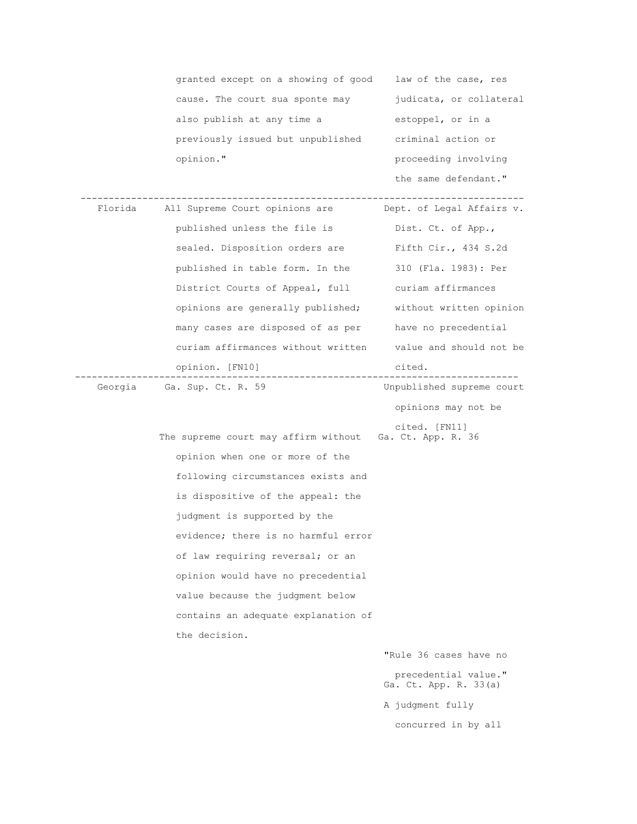|         | granted except on a showing of good                     | law of the case, res                          |
|---------|---------------------------------------------------------|-----------------------------------------------|
|         | cause. The court sua sponte may                         | judicata, or collateral                       |
|         | also publish at any time a                              | estoppel, or in a                             |
|         | previously issued but unpublished                       | criminal action or                            |
|         | opinion."                                               | proceeding involving                          |
|         |                                                         | the same defendant."                          |
| Florida | All Supreme Court opinions are                          | Dept. of Legal Affairs v.                     |
|         | published unless the file is                            | Dist. Ct. of App.,                            |
|         | sealed. Disposition orders are                          | Fifth Cir., 434 S.2d                          |
|         | published in table form. In the                         | 310 (Fla. 1983): Per                          |
|         | District Courts of Appeal, full                         | curiam affirmances                            |
|         | opinions are generally published;                       | without written opinion                       |
|         | many cases are disposed of as per                       | have no precedential                          |
|         | curiam affirmances without written                      | value and should not be                       |
|         | opinion. [FN10]                                         | cited.                                        |
|         | Georgia Ga. Sup. Ct. R. 59                              | Unpublished supreme court                     |
|         |                                                         | opinions may not be                           |
|         | The supreme court may affirm without Ga. Ct. App. R. 36 | cited. [FN11]                                 |
|         | opinion when one or more of the                         |                                               |
|         | following circumstances exists and                      |                                               |
|         | is dispositive of the appeal: the                       |                                               |
|         | judgment is supported by the                            |                                               |
|         | evidence; there is no harmful error                     |                                               |
|         | of law requiring reversal; or an                        |                                               |
|         | opinion would have no precedential                      |                                               |
|         | value because the judgment below                        |                                               |
|         | contains an adequate explanation of                     |                                               |
|         | the decision.                                           |                                               |
|         |                                                         | "Rule 36 cases have no                        |
|         |                                                         | precedential value."<br>Ga. Ct. App. R. 33(a) |
|         |                                                         | A judgment fully                              |
|         |                                                         | concurred in by all                           |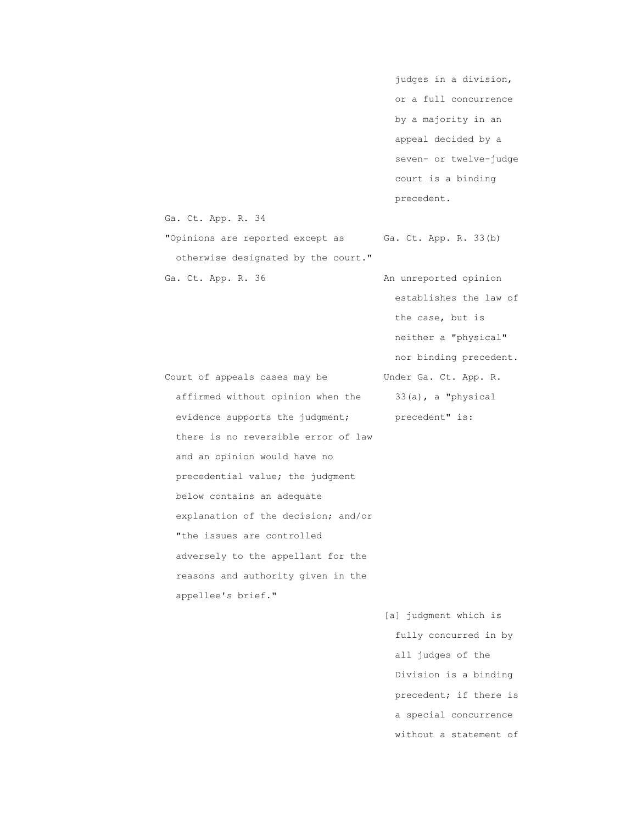judges in a division, or a full concurrence by a majority in an appeal decided by a seven- or twelve-judge court is a binding precedent.

Ga. Ct. App. R. 34

otherwise designated by the court."

"Opinions are reported except as Ga. Ct. App. R. 33(b)

Ga. Ct. App. R. 36 An unreported opinion establishes the law of the case, but is neither a "physical" nor binding precedent. Court of appeals cases may be Under Ga. Ct. App. R.

affirmed without opinion when the  $33(a)$ , a "physical evidence supports the judgment; precedent" is: there is no reversible error of law and an opinion would have no precedential value; the judgment below contains an adequate explanation of the decision; and/or "the issues are controlled adversely to the appellant for the reasons and authority given in the appellee's brief."

> [a] judgment which is fully concurred in by all judges of the Division is a binding precedent; if there is a special concurrence without a statement of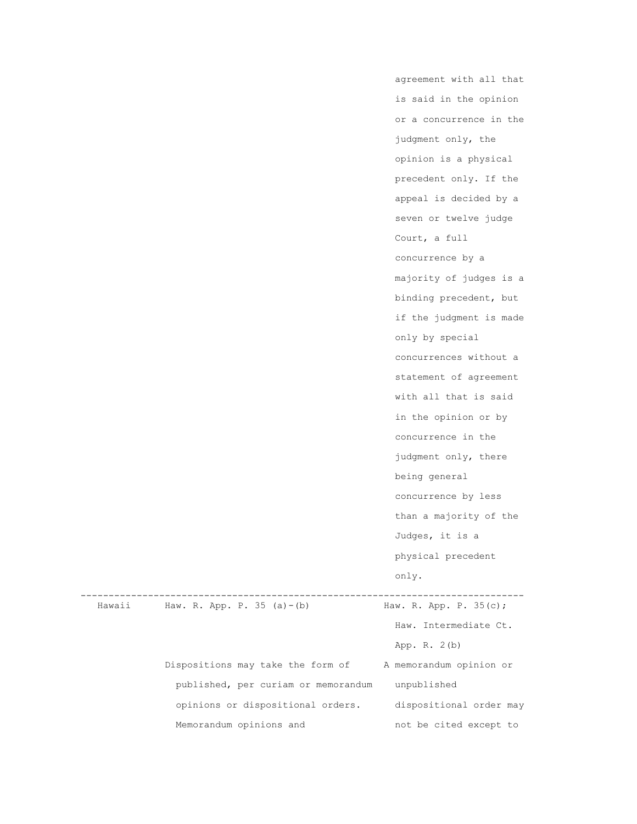|        |                                     | agreement with all that |
|--------|-------------------------------------|-------------------------|
|        |                                     | is said in the opinion  |
|        |                                     | or a concurrence in the |
|        |                                     | judgment only, the      |
|        |                                     | opinion is a physical   |
|        |                                     | precedent only. If the  |
|        |                                     | appeal is decided by a  |
|        |                                     | seven or twelve judge   |
|        |                                     | Court, a full           |
|        |                                     | concurrence by a        |
|        |                                     | majority of judges is a |
|        |                                     | binding precedent, but  |
|        |                                     | if the judgment is made |
|        |                                     | only by special         |
|        |                                     | concurrences without a  |
|        |                                     | statement of agreement  |
|        |                                     | with all that is said   |
|        |                                     | in the opinion or by    |
|        |                                     | concurrence in the      |
|        |                                     | judgment only, there    |
|        |                                     | being general           |
|        |                                     | concurrence by less     |
|        |                                     | than a majority of the  |
|        |                                     | Judges, it is a         |
|        |                                     | physical precedent      |
|        |                                     | only.                   |
| Hawaii | Haw. R. App. P. 35 (a) - (b)        | Haw. R. App. P. 35(c);  |
|        |                                     | Haw. Intermediate Ct.   |
|        |                                     | App. R. $2(b)$          |
|        | Dispositions may take the form of   | A memorandum opinion or |
|        | published, per curiam or memorandum | unpublished             |
|        | opinions or dispositional orders.   | dispositional order may |
|        | Memorandum opinions and             | not be cited except to  |
|        |                                     |                         |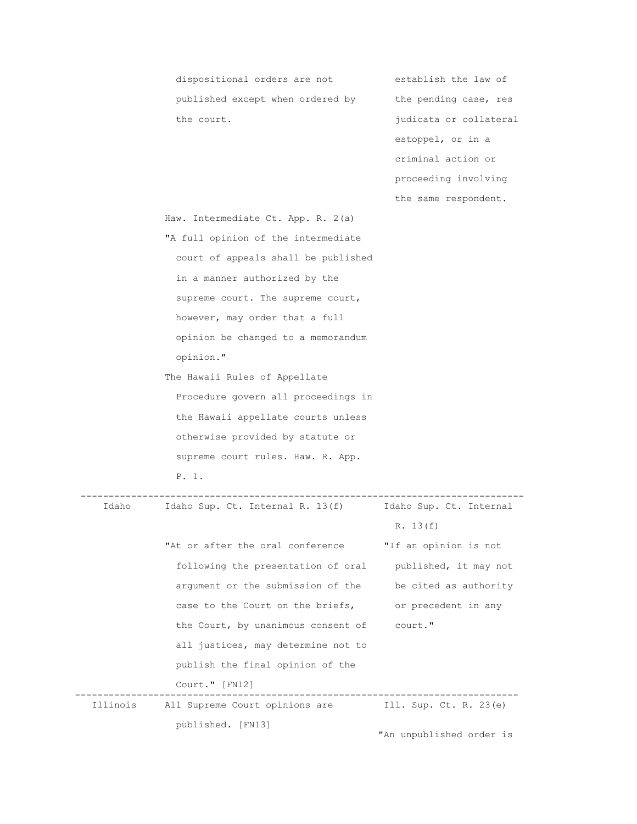dispositional orders are not establish the law of published except when ordered by the pending case, res the court.  $j$ udicata or collateral estoppel, or in a criminal action or proceeding involving the same respondent. Haw. Intermediate Ct. App. R. 2(a) "A full opinion of the intermediate court of appeals shall be published in a manner authorized by the supreme court. The supreme court, however, may order that a full opinion be changed to a memorandum opinion." The Hawaii Rules of Appellate Procedure govern all proceedings in the Hawaii appellate courts unless otherwise provided by statute or supreme court rules. Haw. R. App. P. 1. ------------------------------------------------------------------------------- Idaho Sup. Ct. Internal R. 13(f) R. 13(f) "At or after the oral conference "If an opinion is not following the presentation of oral published, it may not argument or the submission of the be cited as authority case to the Court on the briefs, or precedent in any the Court, by unanimous consent of court." all justices, may determine not to publish the final opinion of the Court." [FN12] ------------------------------------------------------------------------------- Illinois All Supreme Court opinions are Ill. Sup. Ct. R. 23(e)

published. [FN13]

"An unpublished order is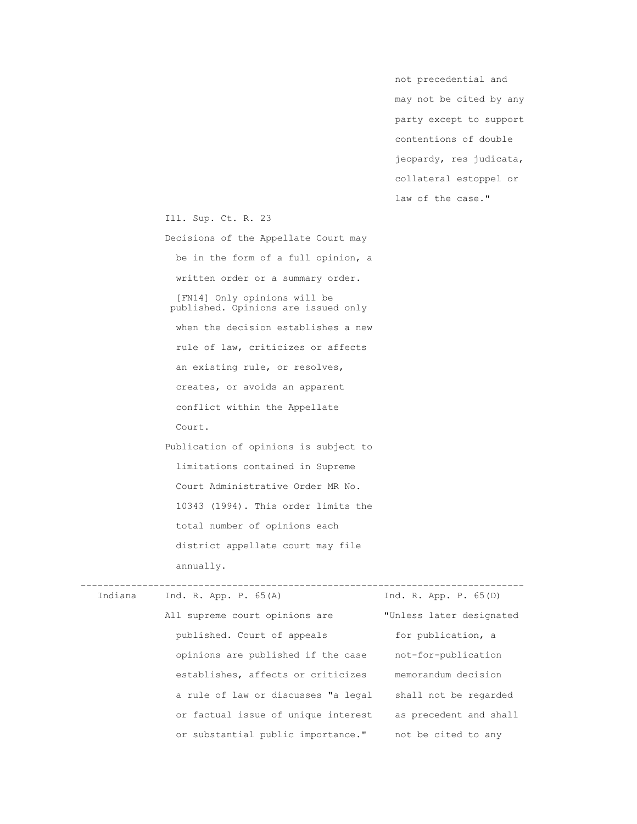not precedential and may not be cited by any party except to support contentions of double jeopardy, res judicata, collateral estoppel or law of the case."

Ill. Sup. Ct. R. 23

Court.

 Decisions of the Appellate Court may be in the form of a full opinion, a written order or a summary order. [FN14] Only opinions will be published. Opinions are issued only when the decision establishes a new

 rule of law, criticizes or affects an existing rule, or resolves, creates, or avoids an apparent conflict within the Appellate

 Publication of opinions is subject to limitations contained in Supreme Court Administrative Order MR No. 10343 (1994). This order limits the total number of opinions each district appellate court may file annually.

| Indiana | Ind. R. App. P. $65(A)$             | Ind. R. App. P. $65(D)$  |
|---------|-------------------------------------|--------------------------|
|         | All supreme court opinions are      | "Unless later designated |
|         | published. Court of appeals         | for publication, a       |
|         | opinions are published if the case  | not-for-publication      |
|         | establishes, affects or criticizes  | memorandum decision      |
|         | a rule of law or discusses "a legal | shall not be regarded    |
|         | or factual issue of unique interest | as precedent and shall   |
|         | or substantial public importance."  | not be cited to any      |
|         |                                     |                          |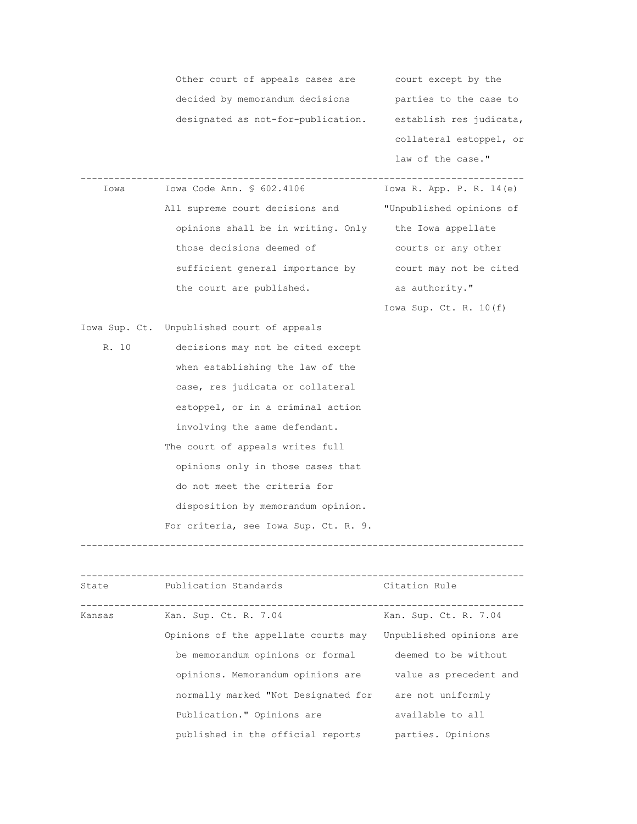|        | Other court of appeals cases are court except by the    |                            |
|--------|---------------------------------------------------------|----------------------------|
|        | decided by memorandum decisions                         | parties to the case to     |
|        | designated as not-for-publication.                      | establish res judicata,    |
|        |                                                         | collateral estoppel, or    |
|        |                                                         | law of the case."          |
| Iowa   | Iowa Code Ann. § 602.4106                               | Iowa R. App. P. R. $14(e)$ |
|        |                                                         |                            |
|        | All supreme court decisions and                         | "Unpublished opinions of   |
|        | opinions shall be in writing. Only the Iowa appellate   |                            |
|        | those decisions deemed of                               | courts or any other        |
|        | sufficient general importance by court may not be cited |                            |
|        | the court are published.                                | as authority."             |
|        |                                                         | Iowa Sup. Ct. R. $10(f)$   |
|        | Iowa Sup. Ct. Unpublished court of appeals              |                            |
| R. 10  | decisions may not be cited except                       |                            |
|        | when establishing the law of the                        |                            |
|        | case, res judicata or collateral                        |                            |
|        | estoppel, or in a criminal action                       |                            |
|        | involving the same defendant.                           |                            |
|        | The court of appeals writes full                        |                            |
|        | opinions only in those cases that                       |                            |
|        | do not meet the criteria for                            |                            |
|        | disposition by memorandum opinion.                      |                            |
|        | For criteria, see Iowa Sup. Ct. R. 9.                   |                            |
|        |                                                         |                            |
|        |                                                         |                            |
| State  | ---------------------<br>Publication Standards          | Citation Rule              |
| Kansas | Kan. Sup. Ct. R. 7.04                                   | Kan. Sup. Ct. R. 7.04      |
|        | Opinions of the appellate courts may                    | Unpublished opinions are   |

be memorandum opinions or formal deemed to be without

normally marked "Not Designated for are not uniformly

Publication." Opinions are **available** to all published in the official reports parties. Opinions

opinions. Memorandum opinions are value as precedent and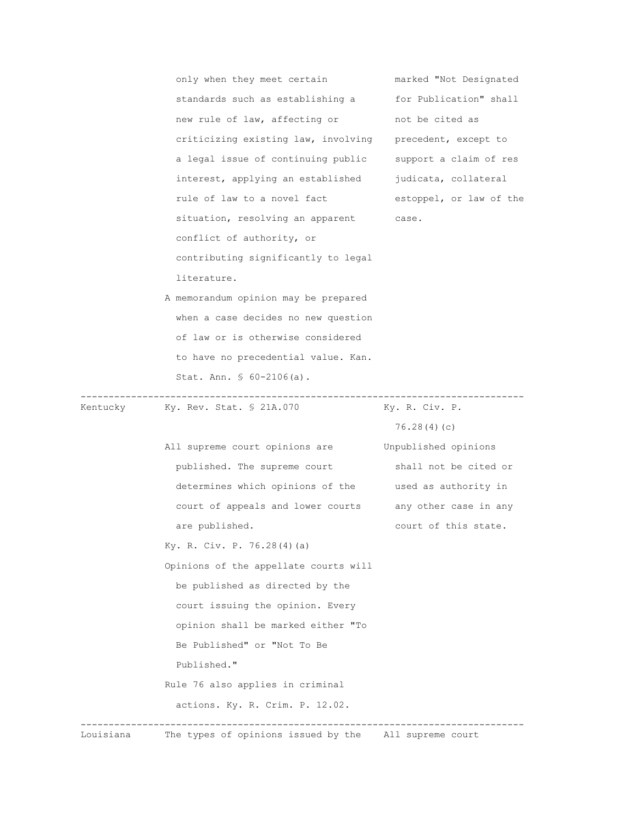|           | only when they meet certain                              | marked "Not Designated  |
|-----------|----------------------------------------------------------|-------------------------|
|           | standards such as establishing a                         | for Publication" shall  |
|           | new rule of law, affecting or                            | not be cited as         |
|           | criticizing existing law, involving precedent, except to |                         |
|           | a legal issue of continuing public                       | support a claim of res  |
|           | interest, applying an established                        | judicata, collateral    |
|           | rule of law to a novel fact                              | estoppel, or law of the |
|           | situation, resolving an apparent                         | case.                   |
|           | conflict of authority, or                                |                         |
|           | contributing significantly to legal                      |                         |
|           | literature.                                              |                         |
|           | A memorandum opinion may be prepared                     |                         |
|           | when a case decides no new question                      |                         |
|           | of law or is otherwise considered                        |                         |
|           | to have no precedential value. Kan.                      |                         |
|           | Stat. Ann. $$60-2106(a)$ .                               |                         |
| Kentucky  | Ky. Rev. Stat. § 21A.070                                 | Ky. R. Civ. P.          |
|           |                                                          | 76.28(4)(c)             |
|           | All supreme court opinions are                           | Unpublished opinions    |
|           | published. The supreme court                             | shall not be cited or   |
|           | determines which opinions of the used as authority in    |                         |
|           | court of appeals and lower courts                        | any other case in any   |
|           | are published.                                           | court of this state.    |
|           | Ky. R. Civ. P. 76.28(4)(a)                               |                         |
|           | Opinions of the appellate courts will                    |                         |
|           | be published as directed by the                          |                         |
|           | court issuing the opinion. Every                         |                         |
|           | opinion shall be marked either "To                       |                         |
|           | Be Published" or "Not To Be                              |                         |
|           | Published."                                              |                         |
|           | Rule 76 also applies in criminal                         |                         |
|           | actions. Ky. R. Crim. P. 12.02.                          |                         |
| Louisiana | The types of opinions issued by the All supreme court    |                         |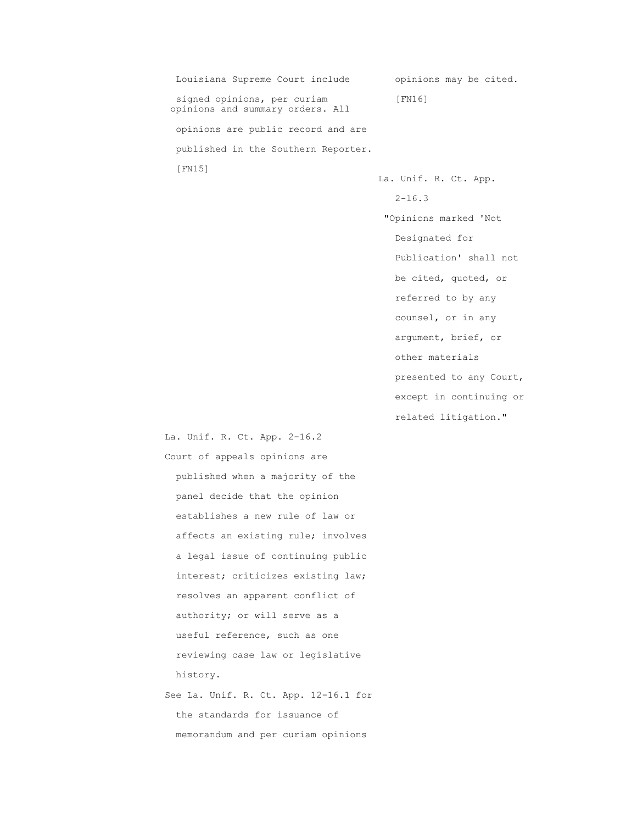Louisiana Supreme Court include opinions may be cited. signed opinions, per curiam [FN16] opinions and summary orders. All opinions are public record and are published in the Southern Reporter. [FN15]

 La. Unif. R. Ct. App. 2-16.3 "Opinions marked 'Not Designated for Publication' shall not be cited, quoted, or referred to by any counsel, or in any argument, brief, or other materials presented to any Court,

except in continuing or

related litigation."

 La. Unif. R. Ct. App. 2-16.2 Court of appeals opinions are published when a majority of the panel decide that the opinion establishes a new rule of law or affects an existing rule; involves a legal issue of continuing public interest; criticizes existing law; resolves an apparent conflict of authority; or will serve as a useful reference, such as one reviewing case law or legislative history. See La. Unif. R. Ct. App. 12-16.1 for

 the standards for issuance of memorandum and per curiam opinions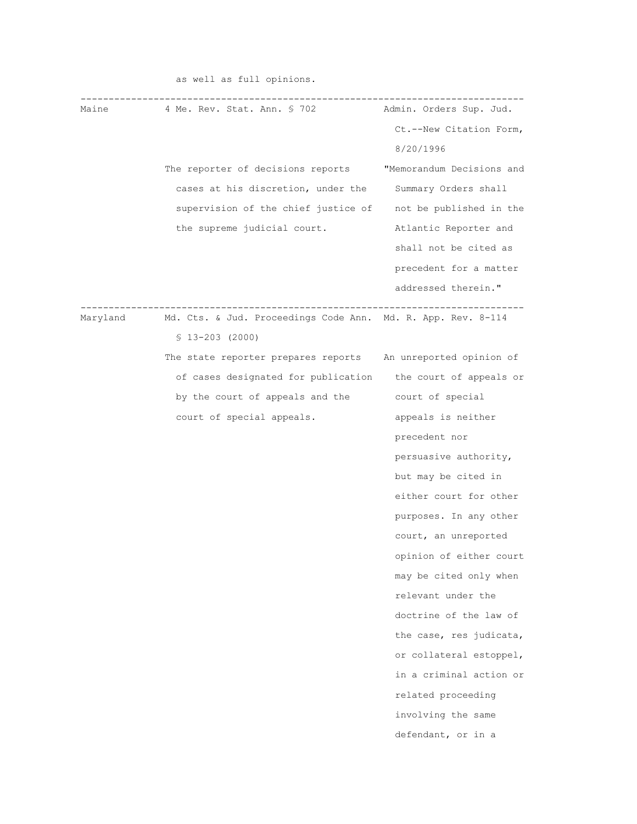| Maine    | 4 Me. Rev. Stat. Ann. § 702                                  | Admin. Orders Sup. Jud.   |
|----------|--------------------------------------------------------------|---------------------------|
|          |                                                              | Ct.--New Citation Form,   |
|          |                                                              | 8/20/1996                 |
|          | The reporter of decisions reports                            | "Memorandum Decisions and |
|          | cases at his discretion, under the                           | Summary Orders shall      |
|          | supervision of the chief justice of                          | not be published in the   |
|          | the supreme judicial court.                                  | Atlantic Reporter and     |
|          |                                                              | shall not be cited as     |
|          |                                                              | precedent for a matter    |
|          |                                                              | addressed therein."       |
|          |                                                              |                           |
| Maryland | Md. Cts. & Jud. Proceedings Code Ann. Md. R. App. Rev. 8-114 |                           |
|          | $$13-203$ (2000)                                             |                           |
|          | The state reporter prepares reports An unreported opinion of |                           |
|          | of cases designated for publication                          | the court of appeals or   |
|          | by the court of appeals and the                              | court of special          |
|          | court of special appeals.                                    | appeals is neither        |
|          |                                                              | precedent nor             |
|          |                                                              | persuasive authority,     |
|          |                                                              | but may be cited in       |
|          |                                                              | either court for other    |
|          |                                                              | purposes. In any other    |
|          |                                                              | court, an unreported      |
|          |                                                              | opinion of either court   |
|          |                                                              | may be cited only when    |
|          |                                                              | relevant under the        |
|          |                                                              | doctrine of the law of    |
|          |                                                              | the case, res judicata,   |
|          |                                                              | or collateral estoppel,   |
|          |                                                              | in a criminal action or   |
|          |                                                              | related proceeding        |
|          |                                                              | involving the same        |
|          |                                                              | defendant, or in a        |
|          |                                                              |                           |

as well as full opinions.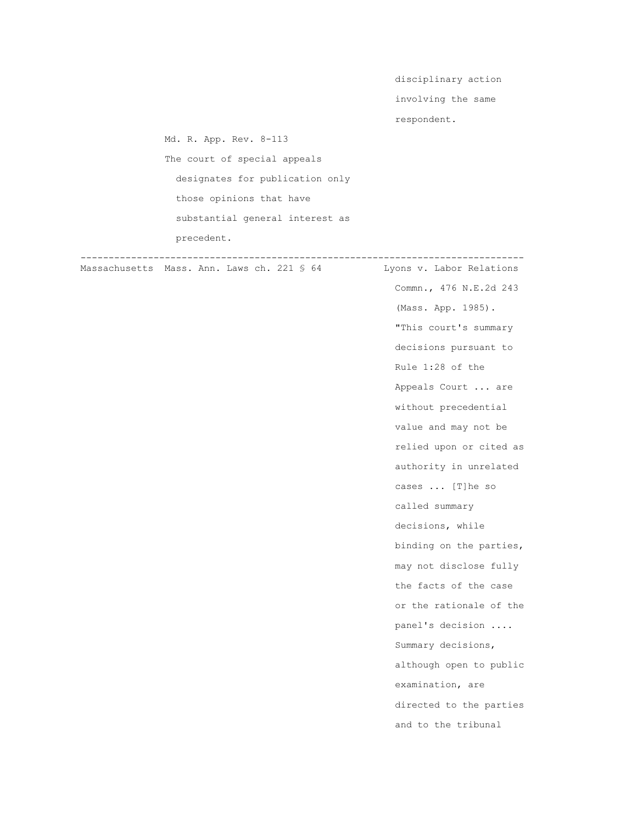disciplinary action

involving the same

respondent.

 Md. R. App. Rev. 8-113 The court of special appeals designates for publication only those opinions that have substantial general interest as precedent.

 ------------------------------------------------------------------------------- Massachusetts Mass. Ann. Laws ch. 221 \$ 64 Lyons v. Labor Relations

 Commn., 476 N.E.2d 243 (Mass. App. 1985). "This court's summary decisions pursuant to Rule 1:28 of the Appeals Court ... are without precedential value and may not be relied upon or cited as authority in unrelated cases ... [T]he so called summary decisions, while binding on the parties, may not disclose fully the facts of the case or the rationale of the panel's decision .... Summary decisions, although open to public examination, are directed to the parties and to the tribunal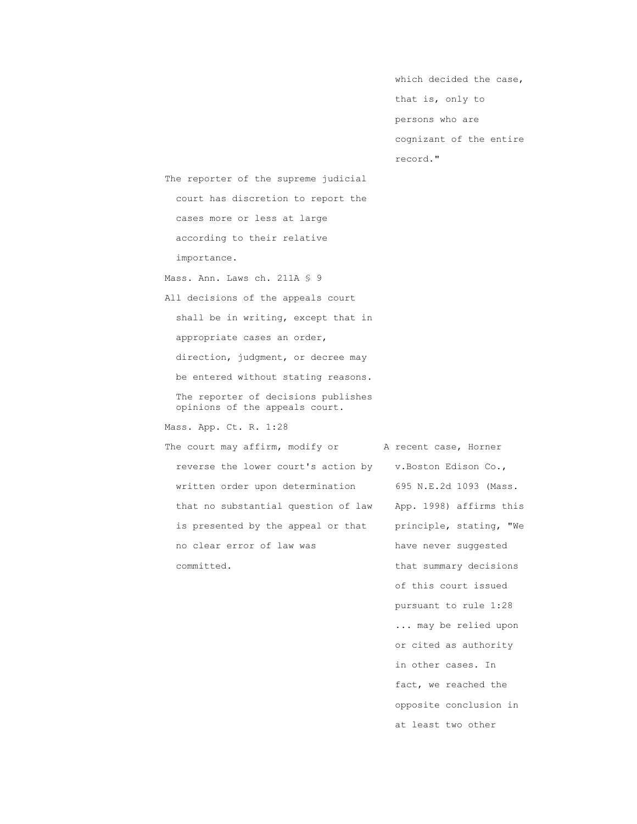which decided the case, that is, only to persons who are cognizant of the entire record."

 The reporter of the supreme judicial court has discretion to report the cases more or less at large according to their relative importance.

Mass. Ann. Laws ch. 211A § 9 All decisions of the appeals court shall be in writing, except that in appropriate cases an order, direction, judgment, or decree may be entered without stating reasons. The reporter of decisions publishes opinions of the appeals court.

Mass. App. Ct. R. 1:28

The court may affirm, modify or A recent case, Horner reverse the lower court's action by v.Boston Edison Co., written order upon determination 695 N.E.2d 1093 (Mass. that no substantial question of law App. 1998) affirms this is presented by the appeal or that principle, stating, "We no clear error of law was have never suggested committed.  $t$  that summary decisions

 of this court issued pursuant to rule 1:28 ... may be relied upon or cited as authority in other cases. In fact, we reached the opposite conclusion in at least two other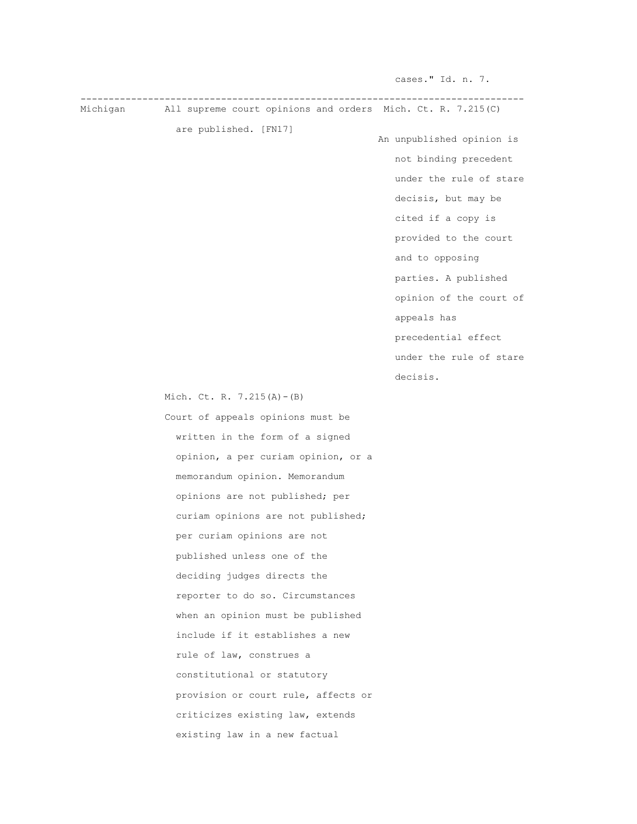cases." Id. n. 7. ------------------------------------------------------------------------------- Michigan All supreme court opinions and orders Mich. Ct. R. 7.215(C) are published. [FN17] An unpublished opinion is not binding precedent under the rule of stare decisis, but may be cited if a copy is provided to the court and to opposing parties. A published opinion of the court of appeals has precedential effect under the rule of stare decisis. The decision of the set of the set of the set of the set of the set of the set of the set of the set of the set of the set of the set of the set of the set of the set of the set of the set of the set of the set of Mich. Ct. R. 7.215(A)-(B) Court of appeals opinions must be written in the form of a signed opinion, a per curiam opinion, or a memorandum opinion. Memorandum opinions are not published; per curiam opinions are not published; per curiam opinions are not published unless one of the deciding judges directs the reporter to do so. Circumstances when an opinion must be published include if it establishes a new rule of law, construes a constitutional or statutory provision or court rule, affects or criticizes existing law, extends existing law in a new factual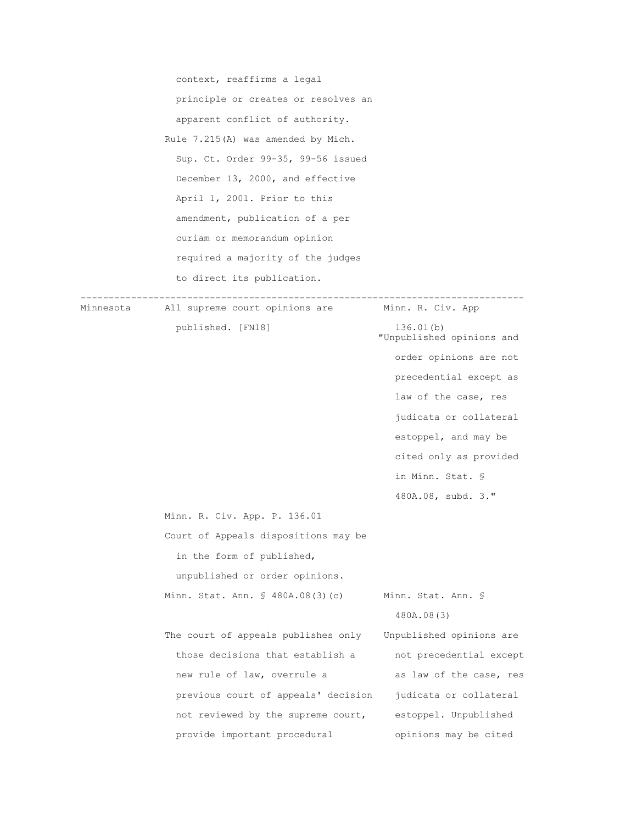context, reaffirms a legal principle or creates or resolves an apparent conflict of authority. Rule 7.215(A) was amended by Mich. Sup. Ct. Order 99-35, 99-56 issued December 13, 2000, and effective April 1, 2001. Prior to this amendment, publication of a per curiam or memorandum opinion required a majority of the judges to direct its publication. ------------------------------------------------------------------------------- Minnesota All supreme court opinions are Minn. R. Civ. App published. [FN18] 136.01(b) "Unpublished opinions and order opinions are not precedential except as law of the case, res judicata or collateral estoppel, and may be cited only as provided in Minn. Stat. § 480A.08, subd. 3." Minn. R. Civ. App. P. 136.01 Court of Appeals dispositions may be in the form of published, unpublished or order opinions. Minn. Stat. Ann. § 480A.08(3)(c) Minn. Stat. Ann. § 480A.08(3) The court of appeals publishes only Unpublished opinions are those decisions that establish a not precedential except new rule of law, overrule a as law of the case, res previous court of appeals' decision judicata or collateral not reviewed by the supreme court, estoppel. Unpublished provide important procedural opinions may be cited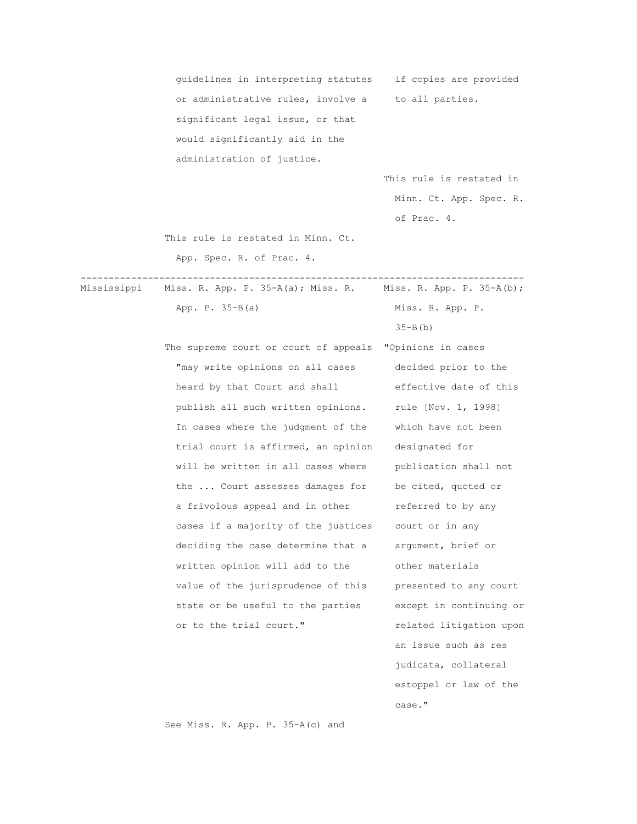guidelines in interpreting statutes if copies are provided or administrative rules, involve a to all parties. significant legal issue, or that would significantly aid in the administration of justice.

 This rule is restated in Minn. Ct. App. Spec. R. of Prac. 4.

This rule is restated in Minn. Ct.

-------------------------------------------------------------------------------

App. Spec. R. of Prac. 4.

Mississippi Miss. R. App. P. 35-A(a); Miss. R. Miss. R. App. P. 35-A(b);

App. P. 35-B(a) Miss. R. App. P.

 The supreme court or court of appeals "Opinions in cases "may write opinions on all cases decided prior to the heard by that Court and shall effective date of this publish all such written opinions. rule [Nov. 1, 1998] In cases where the judgment of the which have not been trial court is affirmed, an opinion designated for will be written in all cases where publication shall not the ... Court assesses damages for be cited, quoted or a frivolous appeal and in other and referred to by any cases if a majority of the justices court or in any deciding the case determine that a argument, brief or written opinion will add to the other materials value of the jurisprudence of this presented to any court state or be useful to the parties except in continuing or or to the trial court." related litigation upon

 $35-B(b)$  an issue such as res judicata, collateral estoppel or law of the case." The case of the case of the case of the case of the case of the case of the case of the case of the case of the case of the case of the case of the case of the case of the case of the case of the case of the case of

See Miss. R. App. P. 35-A(c) and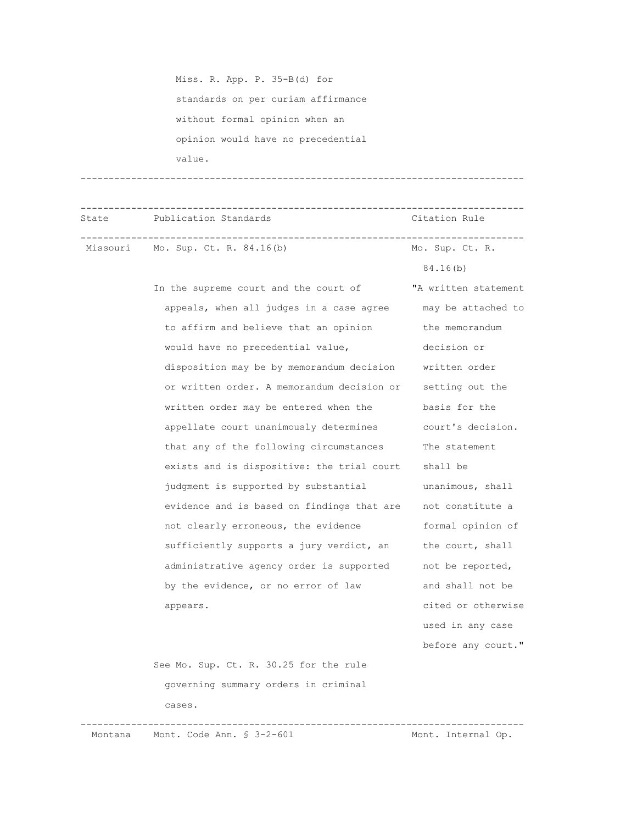Miss. R. App. P. 35-B(d) for standards on per curiam affirmance without formal opinion when an opinion would have no precedential value.

-------------------------------------------------------------------------------

-------------------------------------------------------------------------------

 State Publication Standards Citation Rule ------------------------------------------------------------------------------- Missouri Mo. Sup. Ct. R. 84.16(b) Mo. Sup. Ct. R.

> In the supreme court and the court of "A written statement appeals, when all judges in a case agree may be attached to to affirm and believe that an opinion the memorandum would have no precedential value, and decision or disposition may be by memorandum decision written order or written order. A memorandum decision or setting out the written order may be entered when the basis for the appellate court unanimously determines court's decision. that any of the following circumstances The statement exists and is dispositive: the trial court shall be judgment is supported by substantial unanimous, shall evidence and is based on findings that are not constitute a not clearly erroneous, the evidence formal opinion of sufficiently supports a jury verdict, an the court, shall administrative agency order is supported not be reported, by the evidence, or no error of law and shall not be appears. The cited or otherwise

 used in any case before any court."

84.16(b)

 See Mo. Sup. Ct. R. 30.25 for the rule governing summary orders in criminal cases.

Montana Mont. Code Ann. § 3-2-601

-------------------------------------------------------------------------------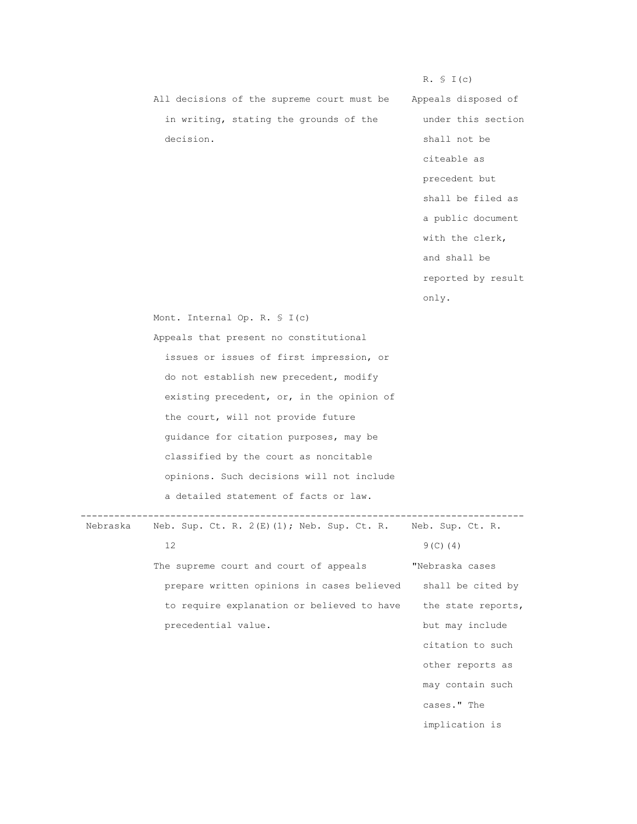|           | All decisions of the supreme court must be |
|-----------|--------------------------------------------|
|           | in writing, stating the grounds of the     |
| decision. |                                            |

Appeals disposed of under this section shall not be citeable as precedent but shall be filed as a public document with the clerk, and shall be reported by result only.

 $R. \S I(c)$ 

Mont. Internal Op. R. § I(c)

 Appeals that present no constitutional issues or issues of first impression, or do not establish new precedent, modify existing precedent, or, in the opinion of the court, will not provide future guidance for citation purposes, may be classified by the court as noncitable opinions. Such decisions will not include a detailed statement of facts or law.

 ------------------------------------------------------------------------------- Nebraska Neb. Sup. Ct. R. 2(E)(1); Neb. Sup. Ct. R.

 $12$  9(C)(4) The supreme court and court of appeals **"Nebraska cases**  prepare written opinions in cases believed shall be cited by to require explanation or believed to have the state reports, precedential value. but may include

 citation to such other reports as may contain such cases." The implication is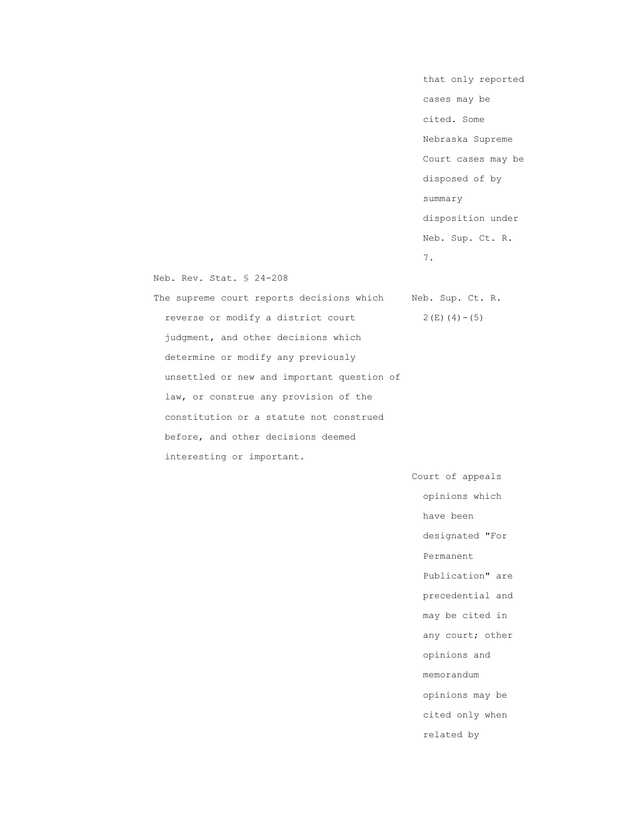that only reported cases may be cited. Some Nebraska Supreme Court cases may be disposed of by summary disposition under Neb. Sup. Ct. R. 7.

Neb. Rev. Stat. § 24-208

The supreme court reports decisions which Neb. Sup. Ct. R. reverse or modify a district court  $2(E)(4)-(5)$  judgment, and other decisions which determine or modify any previously unsettled or new and important question of law, or construe any provision of the constitution or a statute not construed before, and other decisions deemed interesting or important.

> Court of appeals opinions which have been designated "For Permanent Publication" are precedential and may be cited in any court; other opinions and memorandum opinions may be cited only when related by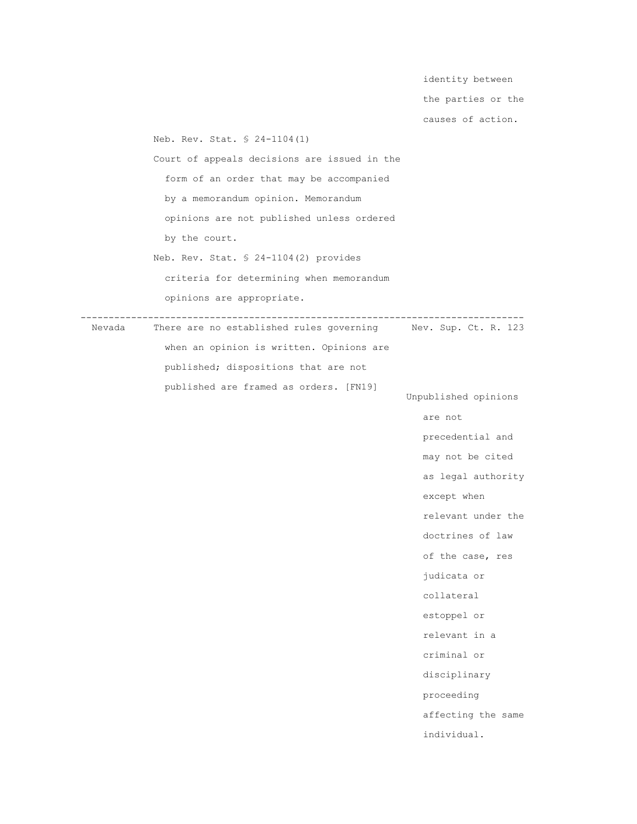identity between the parties or the causes of action. Neb. Rev. Stat. § 24-1104(1) Court of appeals decisions are issued in the form of an order that may be accompanied by a memorandum opinion. Memorandum opinions are not published unless ordered by the court. Neb. Rev. Stat. § 24-1104(2) provides criteria for determining when memorandum opinions are appropriate. ------------------------------------------------------------------------------- There are no established rules governing when an opinion is written. Opinions are published; dispositions that are not published are framed as orders. [FN19] Unpublished opinions are not allow the contract of the contract of the contract of the contract of the contract of the contract of the contract of the contract of the contract of the contract of the contract of the contract of the contract of precedential and may not be cited as legal authority except when relevant under the doctrines of law of the case, res judicata or collateral estoppel or relevant in a criminal or disciplinary proceeding affecting the same individual.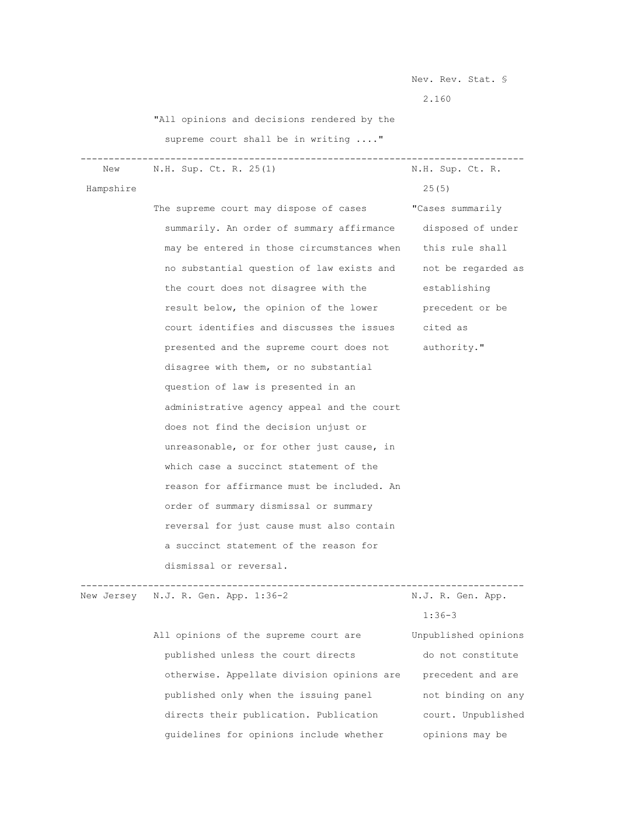Nev. Rev. Stat. §

2.160

"All opinions and decisions rendered by the

supreme court shall be in writing ...."

 ------------------------------------------------------------------------------- New N.H. Sup. Ct. R. 25(1)

Hampshire 25(5)

The supreme court may dispose of cases **"Cases summarily**  summarily. An order of summary affirmance disposed of under may be entered in those circumstances when this rule shall no substantial question of law exists and not be regarded as the court does not disagree with the establishing result below, the opinion of the lower precedent or be court identifies and discusses the issues cited as presented and the supreme court does not authority." disagree with them, or no substantial question of law is presented in an administrative agency appeal and the court does not find the decision unjust or unreasonable, or for other just cause, in which case a succinct statement of the reason for affirmance must be included. An order of summary dismissal or summary reversal for just cause must also contain a succinct statement of the reason for dismissal or reversal.

New Jersey N.J. R. Gen. App. 1:36-2 N.J. R. Gen. App.

 All opinions of the supreme court are Unpublished opinions published unless the court directs do not constitute otherwise. Appellate division opinions are precedent and are published only when the issuing panel not binding on any directs their publication. Publication court. Unpublished guidelines for opinions include whether opinions may be

-------------------------------------------------------------------------------

1:36-3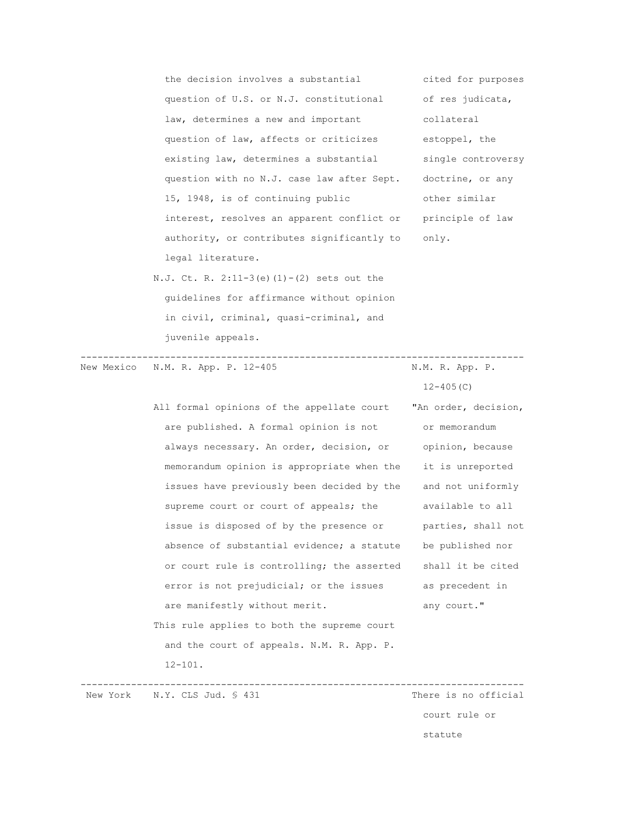the decision involves a substantial cited for purposes question of U.S. or N.J. constitutional of res judicata, law, determines a new and important collateral question of law, affects or criticizes estoppel, the existing law, determines a substantial single controversy question with no N.J. case law after Sept. doctrine, or any 15, 1948, is of continuing public other similar interest, resolves an apparent conflict or principle of law authority, or contributes significantly to only. legal literature.

 N.J. Ct. R. 2:11-3(e)(1)-(2) sets out the guidelines for affirmance without opinion in civil, criminal, quasi-criminal, and juvenile appeals.

 ------------------------------------------------------------------------------- New Mexico N.M. R. App. P. 12-405  $12-405(C)$ All formal opinions of the appellate court "An order, decision, are published. A formal opinion is not or memorandum always necessary. An order, decision, or opinion, because memorandum opinion is appropriate when the it is unreported issues have previously been decided by the and not uniformly supreme court or court of appeals; the available to all issue is disposed of by the presence or parties, shall not absence of substantial evidence; a statute be published nor or court rule is controlling; the asserted shall it be cited error is not prejudicial; or the issues as precedent in are manifestly without merit. The many court." This rule applies to both the supreme court and the court of appeals. N.M. R. App. P. 12-101. ------------------------------------------------------------------------------- New York N.Y. CLS Jud. § 431

 court rule or statute and the statute of the statute of the statute of the statute of the statute of the statute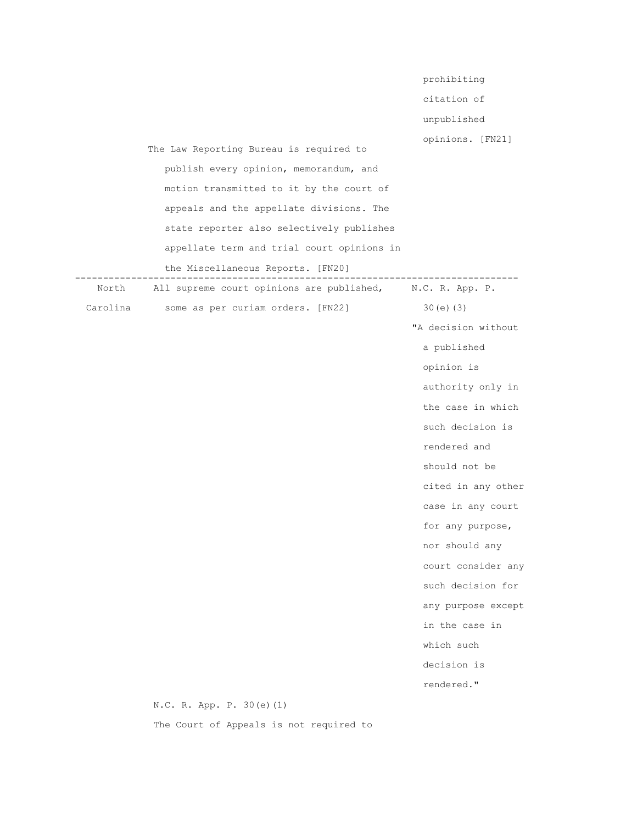|          |                                                           | prohibiting         |
|----------|-----------------------------------------------------------|---------------------|
|          |                                                           | citation of         |
|          |                                                           | unpublished         |
|          | The Law Reporting Bureau is required to                   | opinions. [FN21]    |
|          | publish every opinion, memorandum, and                    |                     |
|          | motion transmitted to it by the court of                  |                     |
|          | appeals and the appellate divisions. The                  |                     |
|          | state reporter also selectively publishes                 |                     |
|          | appellate term and trial court opinions in                |                     |
|          | the Miscellaneous Reports. [FN20]                         |                     |
| North    | All supreme court opinions are published, N.C. R. App. P. | ------------        |
| Carolina | some as per curiam orders. [FN22]                         | $30(e)$ (3)         |
|          |                                                           | "A decision without |
|          |                                                           | a published         |
|          |                                                           | opinion is          |
|          |                                                           | authority only in   |
|          |                                                           | the case in which   |
|          |                                                           | such decision is    |
|          |                                                           | rendered and        |
|          |                                                           | should not be       |
|          |                                                           | cited in any other  |
|          |                                                           | case in any court   |
|          |                                                           | for any purpose,    |
|          |                                                           | nor should any      |
|          |                                                           | court consider any  |
|          |                                                           | such decision for   |
|          |                                                           | any purpose except  |
|          |                                                           | in the case in      |
|          |                                                           | which such          |
|          |                                                           | decision is         |
|          |                                                           | rendered."          |
|          | N.C. R. App. P. 30(e)(1)                                  |                     |

The Court of Appeals is not required to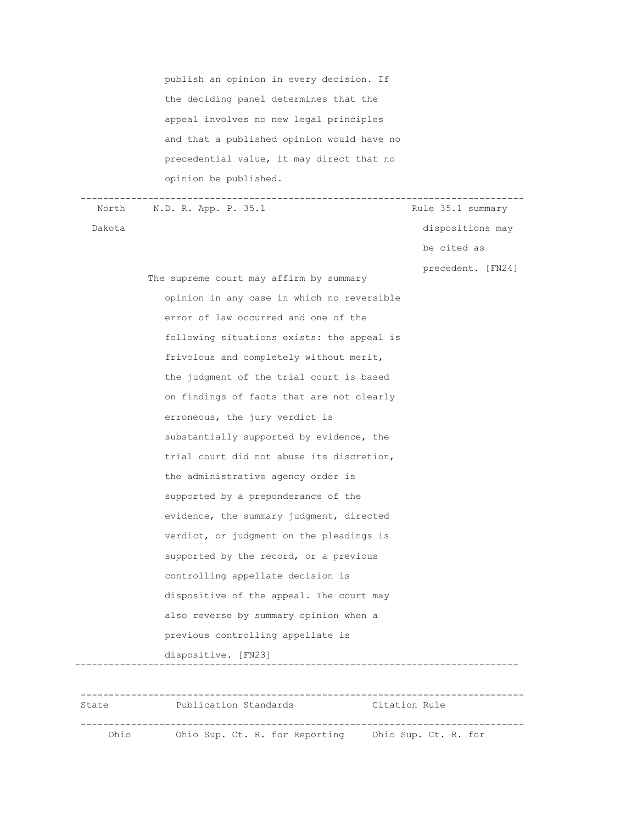publish an opinion in every decision. If the deciding panel determines that the appeal involves no new legal principles and that a published opinion would have no precedential value, it may direct that no opinion be published.

-------------------------------------------------------------------------------

North N.D. R. App. P. 35.1 Rule 35.1 summary Dakota dispositions may be cited as precedent. [FN24] The supreme court may affirm by summary opinion in any case in which no reversible error of law occurred and one of the following situations exists: the appeal is frivolous and completely without merit, the judgment of the trial court is based on findings of facts that are not clearly erroneous, the jury verdict is substantially supported by evidence, the trial court did not abuse its discretion, the administrative agency order is supported by a preponderance of the evidence, the summary judgment, directed verdict, or judgment on the pleadings is supported by the record, or a previous controlling appellate decision is dispositive of the appeal. The court may also reverse by summary opinion when a previous controlling appellate is dispositive. [FN23] -------------------------------------------------------------------------------

 ------------------------------------------------------------------------------- State Publication Standards Citation Rule ------------------------------------------------------------------------------- Ohio Ohio Sup. Ct. R. for Reporting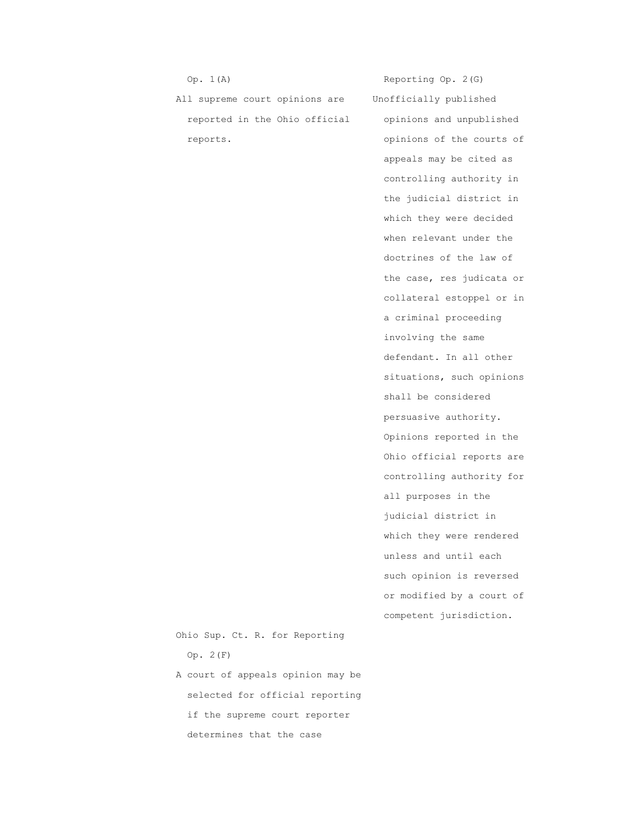Op. 1(A) Reporting Op. 2(G)

 All supreme court opinions are Unofficially published reported in the Ohio official opinions and unpublished reports.  $opinions$  of the courts of

 appeals may be cited as controlling authority in the judicial district in which they were decided when relevant under the doctrines of the law of the case, res judicata or collateral estoppel or in a criminal proceeding involving the same defendant. In all other situations, such opinions shall be considered persuasive authority. Opinions reported in the Ohio official reports are controlling authority for all purposes in the judicial district in which they were rendered unless and until each such opinion is reversed or modified by a court of competent jurisdiction.

 Ohio Sup. Ct. R. for Reporting Op. 2(F)

 A court of appeals opinion may be selected for official reporting if the supreme court reporter determines that the case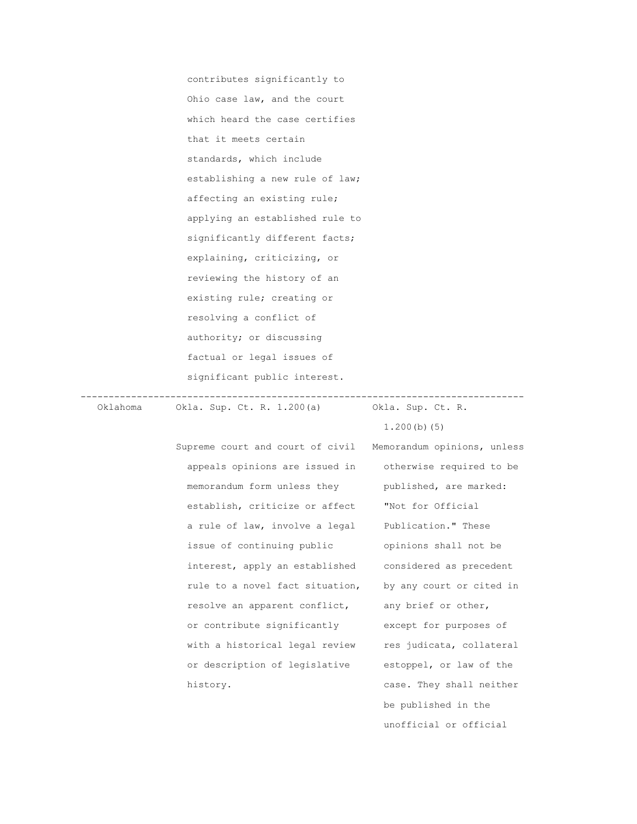contributes significantly to Ohio case law, and the court which heard the case certifies that it meets certain standards, which include establishing a new rule of law; affecting an existing rule; applying an established rule to significantly different facts; explaining, criticizing, or reviewing the history of an existing rule; creating or resolving a conflict of authority; or discussing factual or legal issues of significant public interest.

 ------------------------------------------------------------------------------- Oklahoma Okla. Sup. Ct. R. 1.200(a) Okla. Sup. Ct. R.

> Supreme court and court of civil Memorandum opinions, unless appeals opinions are issued in otherwise required to be memorandum form unless they published, are marked: establish, criticize or affect "Not for Official a rule of law, involve a legal Publication." These issue of continuing public opinions shall not be interest, apply an established considered as precedent rule to a novel fact situation, by any court or cited in resolve an apparent conflict, any brief or other, or contribute significantly except for purposes of with a historical legal review res judicata, collateral or description of legislative estoppel, or law of the history.  $\qquad \qquad \text{case. They shall neither}$

 be published in the unofficial or official

1.200(b)(5)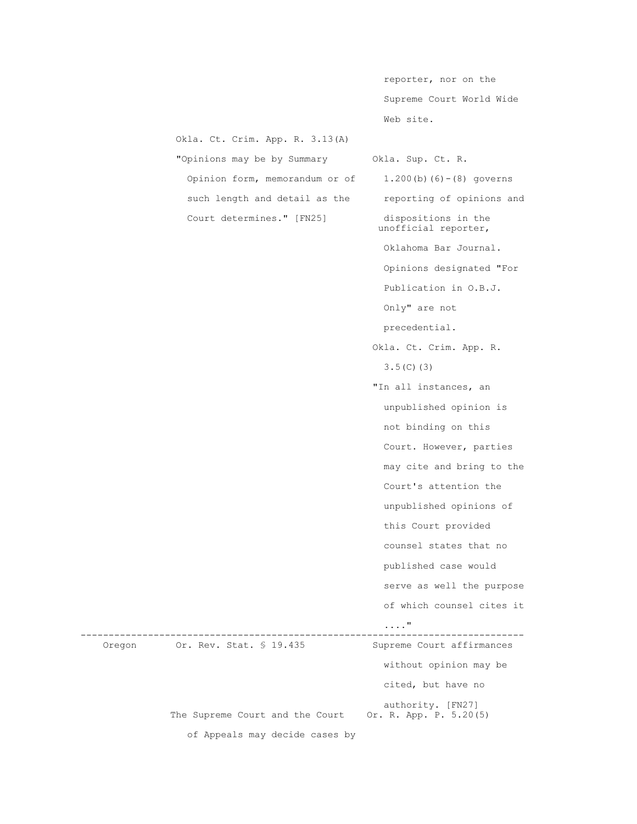reporter, nor on the Supreme Court World Wide Web site.

 Okla. Ct. Crim. App. R. 3.13(A) "Opinions may be by Summary Okla. Sup. Ct. R. Opinion form, memorandum or of 1.200(b)(6)-(8) governs such length and detail as the reporting of opinions and Court determines." [FN25] dispositions in the unofficial reporter, Oklahoma Bar Journal. Opinions designated "For Publication in O.B.J. Only" are not precedential. Okla. Ct. Crim. App. R. 3.5(C)(3) "In all instances, an unpublished opinion is not binding on this Court. However, parties may cite and bring to the Court's attention the unpublished opinions of this Court provided counsel states that no published case would serve as well the purpose of which counsel cites it ...." ------------------------------------------------------------------------------- Oregon Or. Rev. Stat. § 19.435 without opinion may be cited, but have no authority. [FN27]<br>Or. R. App. P. 5.20(5) The Supreme Court and the Court of Appeals may decide cases by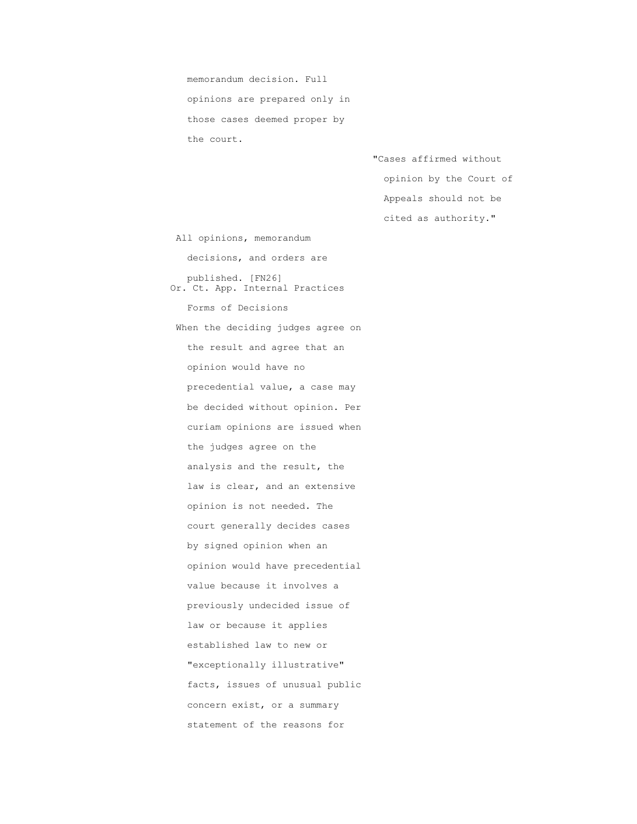memorandum decision. Full opinions are prepared only in those cases deemed proper by the court.

> "Cases affirmed without opinion by the Court of Appeals should not be cited as authority."

 All opinions, memorandum decisions, and orders are published. [FN26] Or. Ct. App. Internal Practices Forms of Decisions When the deciding judges agree on the result and agree that an opinion would have no precedential value, a case may be decided without opinion. Per curiam opinions are issued when the judges agree on the analysis and the result, the law is clear, and an extensive opinion is not needed. The court generally decides cases by signed opinion when an opinion would have precedential value because it involves a previously undecided issue of law or because it applies established law to new or "exceptionally illustrative" facts, issues of unusual public concern exist, or a summary statement of the reasons for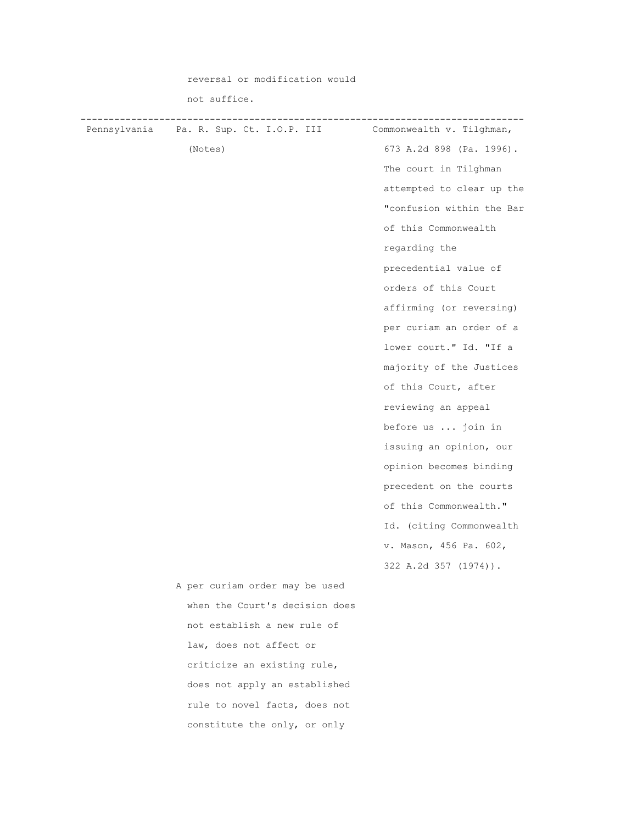|              | reversal or modification would |                           |
|--------------|--------------------------------|---------------------------|
|              | not suffice.                   |                           |
| Pennsylvania | Pa. R. Sup. Ct. I.O.P. III     | Commonwealth v. Tilghman, |
|              | (Notes)                        | 673 A.2d 898 (Pa. 1996).  |
|              |                                | The court in Tilghman     |
|              |                                | attempted to clear up the |
|              |                                | "confusion within the Bar |
|              |                                | of this Commonwealth      |
|              |                                | regarding the             |
|              |                                | precedential value of     |
|              |                                | orders of this Court      |
|              |                                | affirming (or reversing)  |
|              |                                | per curiam an order of a  |
|              |                                | lower court." Id. "If a   |
|              |                                | majority of the Justices  |
|              |                                | of this Court, after      |
|              |                                | reviewing an appeal       |
|              |                                | before us  join in        |
|              |                                | issuing an opinion, our   |
|              |                                | opinion becomes binding   |
|              |                                | precedent on the courts   |
|              |                                | of this Commonwealth."    |
|              |                                | Id. (citing Commonwealth  |
|              |                                | v. Mason, 456 Pa. 602,    |
|              |                                | 322 A.2d 357 (1974)).     |
|              | A per curiam order may be used |                           |
|              | when the Court's decision does |                           |
|              | not establish a new rule of    |                           |
|              | law, does not affect or        |                           |
|              | criticize an existing rule,    |                           |
|              | does not apply an established  |                           |
|              | rule to novel facts, does not  |                           |
|              | constitute the only, or only   |                           |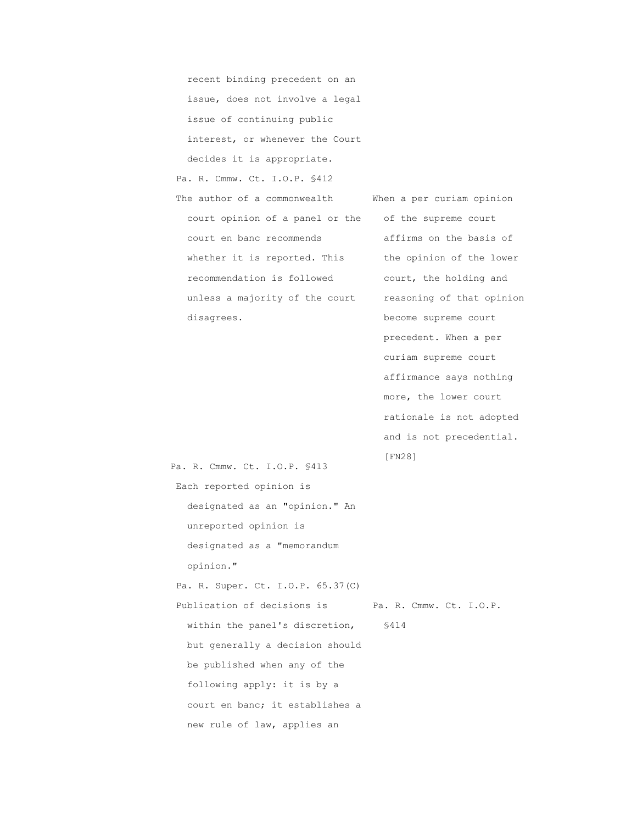recent binding precedent on an issue, does not involve a legal issue of continuing public interest, or whenever the Court decides it is appropriate. Pa. R. Cmmw. Ct. I.O.P. §412 The author of a commonwealth When a per curiam opinion court opinion of a panel or the of the supreme court court en banc recommends affirms on the basis of whether it is reported. This the opinion of the lower recommendation is followed court, the holding and unless a majority of the court reasoning of that opinion disagrees. **become** supreme court  $[FN28]$ 

 precedent. When a per curiam supreme court affirmance says nothing more, the lower court rationale is not adopted and is not precedential.

 Pa. R. Cmmw. Ct. I.O.P. §413 Each reported opinion is designated as an "opinion." An unreported opinion is designated as a "memorandum opinion." Pa. R. Super. Ct. I.O.P. 65.37(C) Publication of decisions is Pa. R. Cmmw. Ct. I.O.P. within the panel's discretion, \$414 but generally a decision should be published when any of the following apply: it is by a court en banc; it establishes a new rule of law, applies an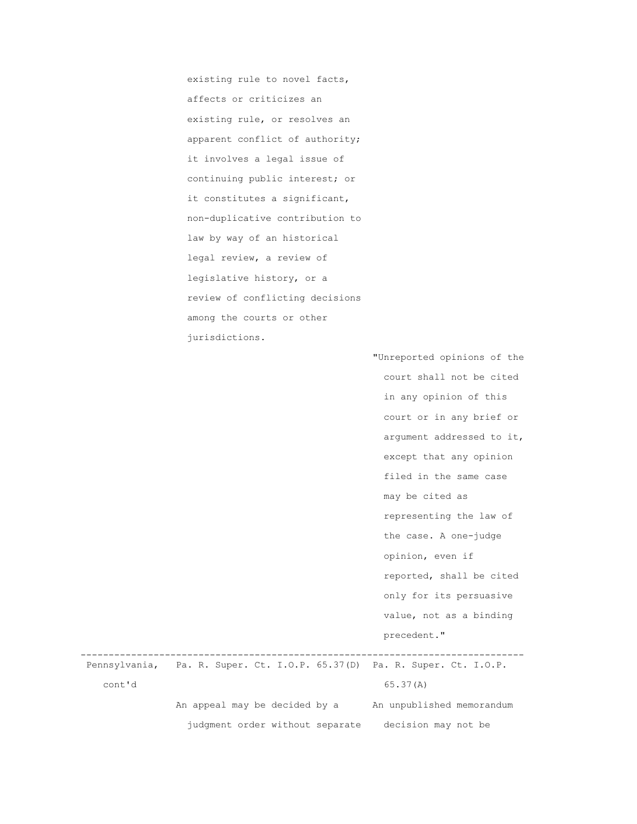existing rule to novel facts, affects or criticizes an existing rule, or resolves an apparent conflict of authority; it involves a legal issue of continuing public interest; or it constitutes a significant, non-duplicative contribution to law by way of an historical legal review, a review of legislative history, or a review of conflicting decisions among the courts or other jurisdictions.

> "Unreported opinions of the court shall not be cited in any opinion of this court or in any brief or argument addressed to it, except that any opinion filed in the same case may be cited as representing the law of the case. A one-judge opinion, even if reported, shall be cited only for its persuasive value, not as a binding precedent."

 ------------------------------------------------------------------------------- Pennsylvania, Pa. R. Super. Ct. I.O.P. 65.37(D) Pa. R. Super. Ct. I.O.P. cont'd 65.37(A) An appeal may be decided by a An unpublished memorandum judgment order without separate decision may not be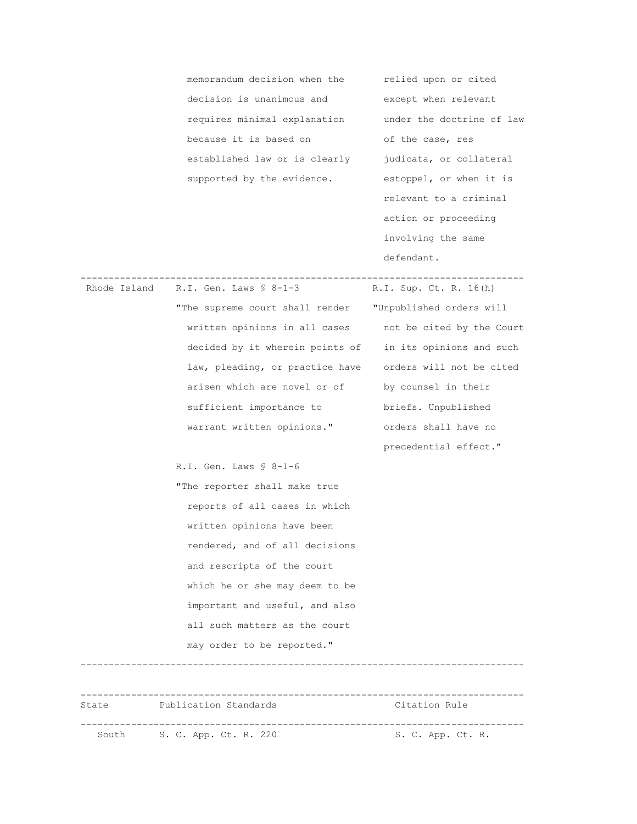memorandum decision when the relied upon or cited decision is unanimous and except when relevant requires minimal explanation under the doctrine of law because it is based on of the case, res established law or is clearly judicata, or collateral supported by the evidence. estoppel, or when it is

 relevant to a criminal action or proceeding involving the same defendant.

| Rhode Island | R.I. Gen. Laws $$8-1-3$                                  | R.I. Sup. Ct. R. 16(h)                   |
|--------------|----------------------------------------------------------|------------------------------------------|
|              | "The supreme court shall render                          | "Unpublished orders will                 |
|              | written opinions in all cases                            | not be cited by the Court                |
|              | decided by it wherein points of                          | in its opinions and such                 |
|              | law, pleading, or practice have orders will not be cited |                                          |
|              | arisen which are novel or of                             | by counsel in their                      |
|              | sufficient importance to                                 | briefs. Unpublished                      |
|              | warrant written opinions."                               | orders shall have no                     |
|              |                                                          | precedential effect."                    |
|              | R.I. Gen. Laws $$8-1-6$                                  |                                          |
|              | "The reporter shall make true                            |                                          |
|              | reports of all cases in which                            |                                          |
|              | written opinions have been                               |                                          |
|              | rendered, and of all decisions                           |                                          |
|              | and rescripts of the court                               |                                          |
|              | which he or she may deem to be                           |                                          |
|              | important and useful, and also                           |                                          |
|              | all such matters as the court                            |                                          |
|              | may order to be reported."                               |                                          |
|              |                                                          |                                          |
| State        | Publication Standards                                    | Citation Rule                            |
| South        | ---------------------<br>S. C. App. Ct. R. 220           | . _ _ _ _ _ _ _ _ _<br>S. C. App. Ct. R. |

-------------------------------------------------------------------------------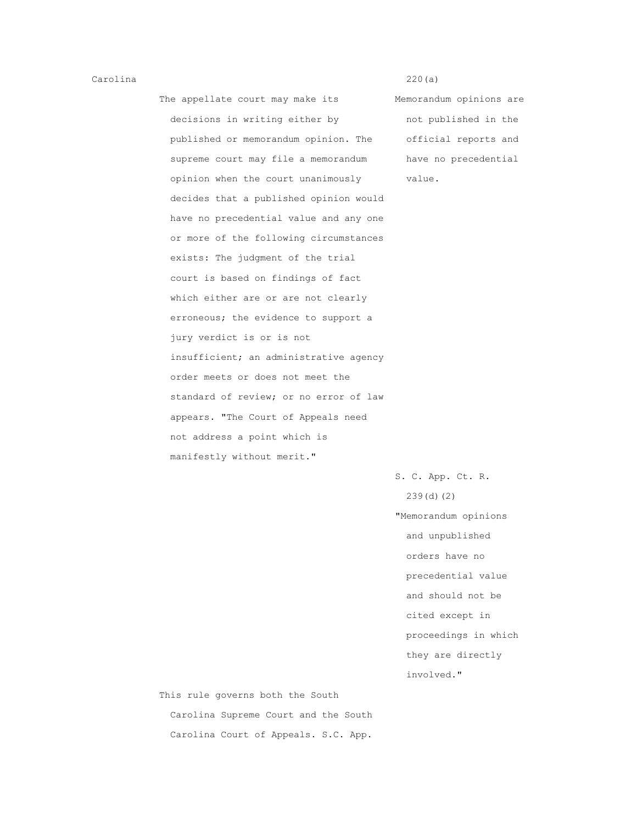## Carolina 220(a)

The appellate court may make its Memorandum opinions are decisions in writing either by not published in the published or memorandum opinion. The official reports and supreme court may file a memorandum have no precedential opinion when the court unanimously value. decides that a published opinion would have no precedential value and any one or more of the following circumstances exists: The judgment of the trial court is based on findings of fact which either are or are not clearly erroneous; the evidence to support a jury verdict is or is not insufficient; an administrative agency order meets or does not meet the standard of review; or no error of law appears. "The Court of Appeals need not address a point which is manifestly without merit."

 S. C. App. Ct. R. 239(d)(2) "Memorandum opinions and unpublished orders have no precedential value and should not be cited except in proceedings in which they are directly involved."

 This rule governs both the South Carolina Supreme Court and the South Carolina Court of Appeals. S.C. App.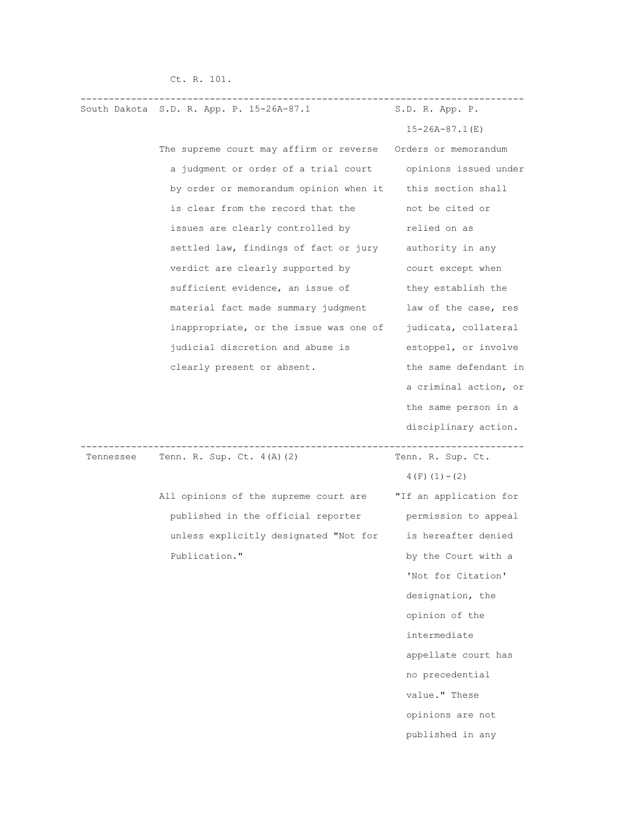|           | South Dakota S.D. R. App. P. 15-26A-87.1 | S.D. R. App. P.        |
|-----------|------------------------------------------|------------------------|
|           |                                          | $15 - 26A - 87$ . 1(E) |
|           | The supreme court may affirm or reverse  | Orders or memorandum   |
|           | a judgment or order of a trial court     | opinions issued under  |
|           | by order or memorandum opinion when it   | this section shall     |
|           | is clear from the record that the        | not be cited or        |
|           | issues are clearly controlled by         | relied on as           |
|           | settled law, findings of fact or jury    | authority in any       |
|           | verdict are clearly supported by         | court except when      |
|           | sufficient evidence, an issue of         | they establish the     |
|           | material fact made summary judgment      | law of the case, res   |
|           | inappropriate, or the issue was one of   | judicata, collateral   |
|           | judicial discretion and abuse is         | estoppel, or involve   |
|           | clearly present or absent.               | the same defendant in  |
|           |                                          | a criminal action, or  |
|           |                                          | the same person in a   |
|           |                                          | disciplinary action.   |
| Tennessee | Tenn. R. Sup. Ct. 4(A)(2)                | Tenn. R. Sup. Ct.      |
|           |                                          | $4(F) (1) - (2)$       |
|           | All opinions of the supreme court are    | "If an application for |
|           | published in the official reporter       | permission to appeal   |
|           | unless explicitly designated "Not for    | is hereafter denied    |

Ct. R. 101.

Publication." by the Court with a 'Not for Citation' designation, the opinion of the intermediate appellate court has no precedential value." These opinions are not published in any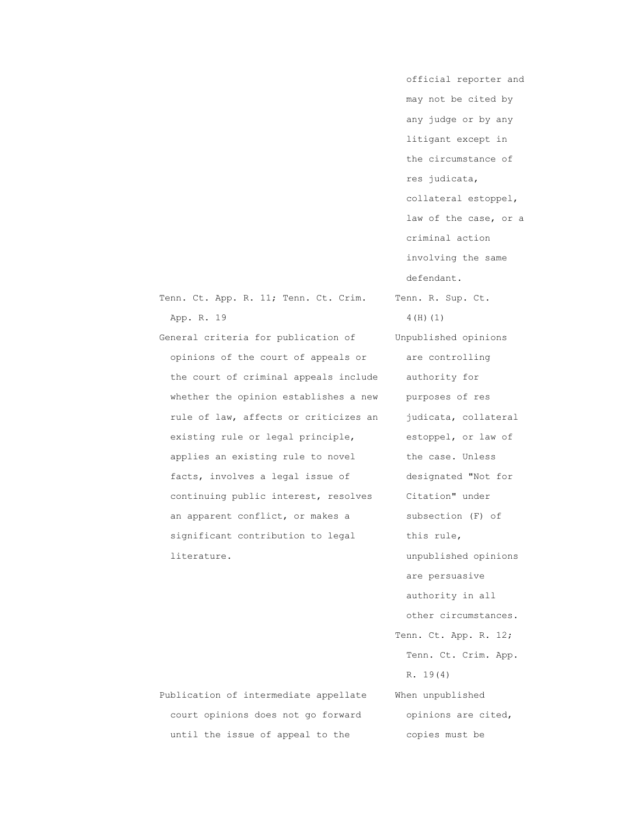|            |  | Tenn. Ct. App. R. 11; Tenn. Ct. Crim. |  | Tenn. R. |  |
|------------|--|---------------------------------------|--|----------|--|
| App. R. 19 |  |                                       |  | 4(H)(1)  |  |

 General criteria for publication of Unpublished opinions opinions of the court of appeals or are controlling the court of criminal appeals include authority for whether the opinion establishes a new purposes of res rule of law, affects or criticizes an judicata, collateral existing rule or legal principle, estoppel, or law of applies an existing rule to novel the case. Unless facts, involves a legal issue of designated "Not for continuing public interest, resolves Citation" under an apparent conflict, or makes a subsection (F) of significant contribution to legal this rule, literature. unpublished opinions

 may not be cited by any judge or by any litigant except in the circumstance of res judicata, collateral estoppel, law of the case, or a criminal action involving the same defendant. Tenn. R. Sup. Ct. are persuasive authority in all other circumstances. Tenn. Ct. App. R. 12; Tenn. Ct. Crim. App. R. 19(4)

official reporter and

 Publication of intermediate appellate When unpublished court opinions does not go forward opinions are cited, until the issue of appeal to the copies must be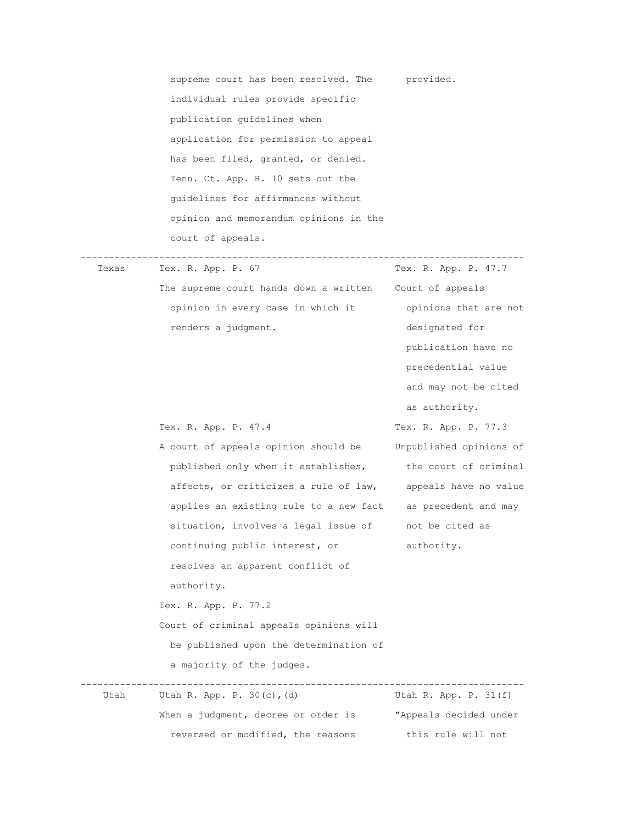|       | supreme court has been resolved. The provided.              |                         |
|-------|-------------------------------------------------------------|-------------------------|
|       | individual rules provide specific                           |                         |
|       | publication quidelines when                                 |                         |
|       | application for permission to appeal                        |                         |
|       | has been filed, granted, or denied.                         |                         |
|       | Tenn. Ct. App. R. 10 sets out the                           |                         |
|       | quidelines for affirmances without                          |                         |
|       | opinion and memorandum opinions in the                      |                         |
|       | court of appeals.                                           |                         |
| Texas | Tex. R. App. P. 67                                          | Tex. R. App. P. 47.7    |
|       | The supreme court hands down a written Court of appeals     |                         |
|       | opinion in every case in which it                           | opinions that are not   |
|       | renders a judgment.                                         | designated for          |
|       |                                                             | publication have no     |
|       |                                                             | precedential value      |
|       |                                                             | and may not be cited    |
|       |                                                             | as authority.           |
|       | Tex. R. App. P. 47.4                                        | Tex. R. App. P. 77.3    |
|       | A court of appeals opinion should be                        | Unpublished opinions of |
|       | published only when it establishes, the court of criminal   |                         |
|       | affects, or criticizes a rule of law, appeals have no value |                         |
|       | applies an existing rule to a new fact as precedent and may |                         |
|       | situation, involves a legal issue of                        | not be cited as         |
|       | continuing public interest, or                              | authority.              |
|       | resolves an apparent conflict of                            |                         |
|       | authority.                                                  |                         |
|       | Tex. R. App. P. 77.2                                        |                         |
|       | Court of criminal appeals opinions will                     |                         |

be published upon the determination of

-------------------------------------------------------------------------------

When a judgment, decree or order is "Appeals decided under reversed or modified, the reasons this rule will not

a majority of the judges.

Utah R. App. P.  $30(c)$ , (d)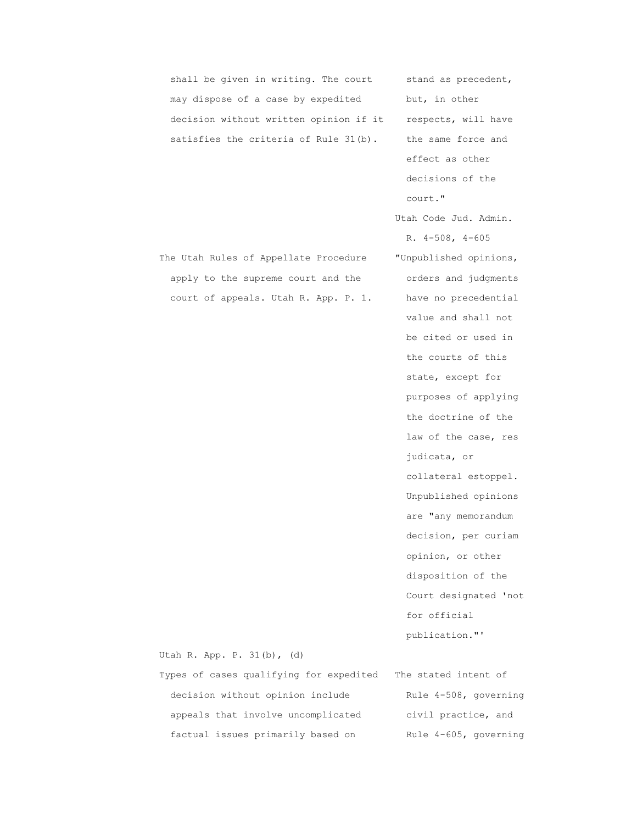| shall be given in writing. The court    | stand as precedent,    |
|-----------------------------------------|------------------------|
| may dispose of a case by expedited      | but, in other          |
| decision without written opinion if it  | respects, will have    |
| satisfies the criteria of Rule 31(b).   | the same force and     |
|                                         | effect as other        |
|                                         | decisions of the       |
|                                         | court."                |
|                                         | Utah Code Jud. Admin.  |
|                                         | R. $4-508$ , $4-605$   |
| The Utah Rules of Appellate Procedure   | "Unpublished opinions, |
| apply to the supreme court and the      | orders and judgments   |
| court of appeals. Utah R. App. P. 1.    | have no precedential   |
|                                         | value and shall not    |
|                                         | be cited or used in    |
|                                         | the courts of this     |
|                                         | state, except for      |
|                                         | purposes of applying   |
|                                         | the doctrine of the    |
|                                         | law of the case, res   |
|                                         | judicata, or           |
|                                         | collateral estoppel.   |
|                                         | Unpublished opinions   |
|                                         | are "any memorandum    |
|                                         | decision, per curiam   |
|                                         | opinion, or other      |
|                                         | disposition of the     |
|                                         | Court designated 'not  |
|                                         | for official           |
|                                         | publication."'         |
| Utah R. App. P. 31(b), (d)              |                        |
| Types of cases qualifying for expedited | The stated intent of   |
| decision without opinion include        | Rule 4-508, governing  |
| appeals that involve uncomplicated      | civil practice, and    |

factual issues primarily based on Rule 4-605, governing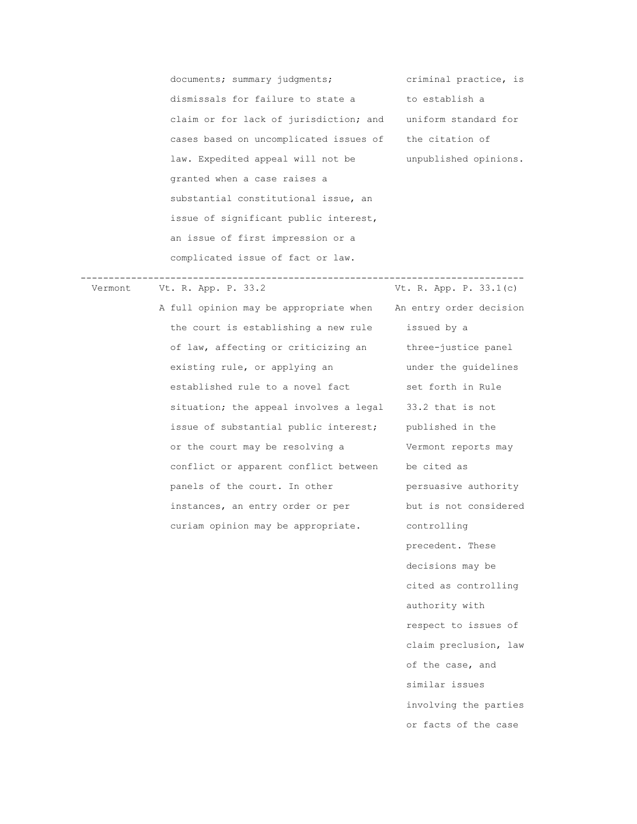documents; summary judgments; criminal practice, is dismissals for failure to state a to establish a claim or for lack of jurisdiction; and uniform standard for cases based on uncomplicated issues of the citation of law. Expedited appeal will not be unpublished opinions. granted when a case raises a substantial constitutional issue, an issue of significant public interest, an issue of first impression or a complicated issue of fact or law.

 ------------------------------------------------------------------------------- Vermont Vt. R. App. P. 33.2 Vt. R. App. P. 33.1(c)

> the court is establishing a new rule issued by a of law, affecting or criticizing an three-justice panel existing rule, or applying an an under the quidelines established rule to a novel fact set forth in Rule situation; the appeal involves a legal 33.2 that is not issue of substantial public interest; published in the or the court may be resolving a Vermont reports may conflict or apparent conflict between be cited as panels of the court. In other persuasive authority instances, an entry order or per but is not considered curiam opinion may be appropriate. controlling

> A full opinion may be appropriate when An entry order decision precedent. These decisions may be cited as controlling authority with respect to issues of claim preclusion, law of the case, and similar issues involving the parties or facts of the case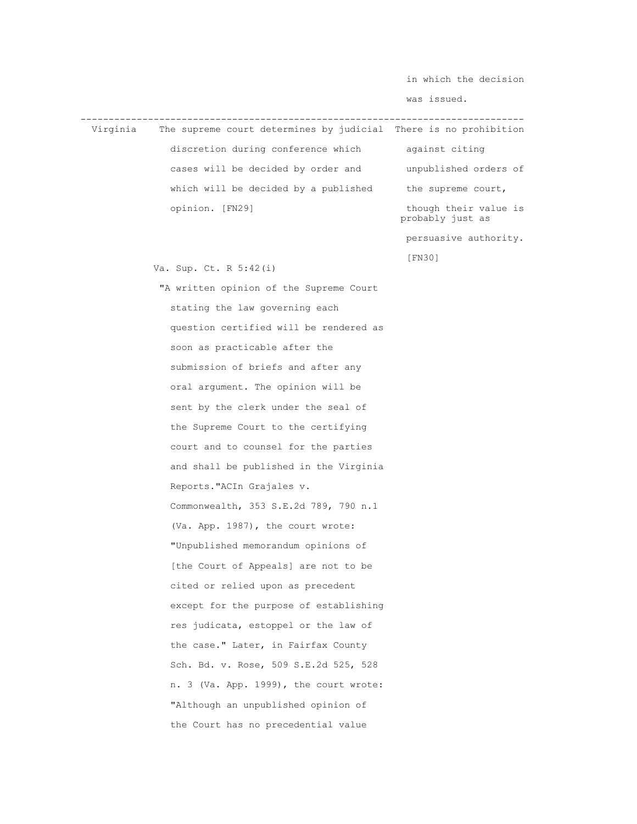in which the decision

was issued.

 ------------------------------------------------------------------------------- The supreme court determines by judicial There is no prohibition discretion during conference which against citing cases will be decided by order and unpublished orders of which will be decided by a published the supreme court, opinion. [FN29] though their value is probably just as persuasive authority. [FN30] Va. Sup. Ct. R 5:42(i) "A written opinion of the Supreme Court stating the law governing each question certified will be rendered as soon as practicable after the submission of briefs and after any oral argument. The opinion will be sent by the clerk under the seal of the Supreme Court to the certifying court and to counsel for the parties and shall be published in the Virginia Reports."ACIn Grajales v. Commonwealth, 353 S.E.2d 789, 790 n.1 (Va. App. 1987), the court wrote: "Unpublished memorandum opinions of [the Court of Appeals] are not to be cited or relied upon as precedent except for the purpose of establishing res judicata, estoppel or the law of the case." Later, in Fairfax County Sch. Bd. v. Rose, 509 S.E.2d 525, 528 n. 3 (Va. App. 1999), the court wrote: "Although an unpublished opinion of the Court has no precedential value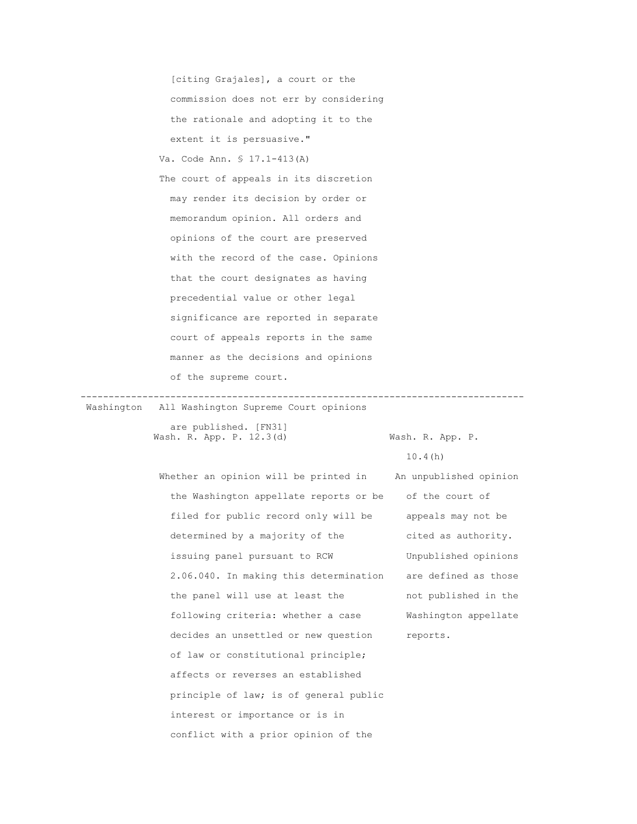[citing Grajales], a court or the commission does not err by considering the rationale and adopting it to the extent it is persuasive." Va. Code Ann. § 17.1-413(A) The court of appeals in its discretion may render its decision by order or memorandum opinion. All orders and opinions of the court are preserved with the record of the case. Opinions that the court designates as having precedential value or other legal significance are reported in separate court of appeals reports in the same manner as the decisions and opinions of the supreme court.

 ------------------------------------------------------------------------------- Washington All Washington Supreme Court opinions

> are published. [FN31] Wash. R. App. P. 12.3(d) Wash. R. App. P.

 $10.4(h)$ 

Whether an opinion will be printed in An unpublished opinion the Washington appellate reports or be of the court of filed for public record only will be appeals may not be determined by a majority of the cited as authority. issuing panel pursuant to RCW Unpublished opinions 2.06.040. In making this determination are defined as those the panel will use at least the not published in the following criteria: whether a case Washington appellate decides an unsettled or new question reports. of law or constitutional principle; affects or reverses an established principle of law; is of general public interest or importance or is in conflict with a prior opinion of the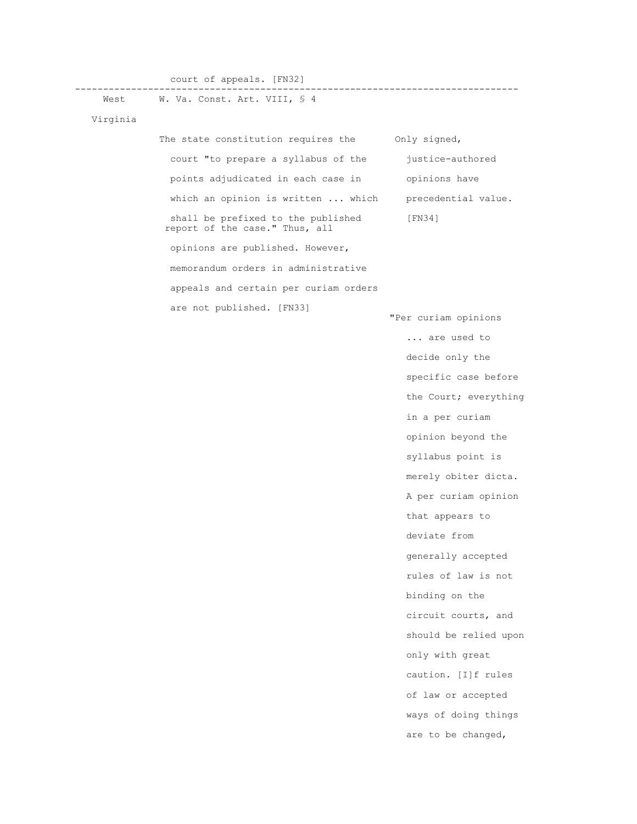court of appeals. [FN32]

------------------------------------------------------------------------------- West W. Va. Const. Art. VIII, § 4

Virginia

The state constitution requires the Only signed, court "to prepare a syllabus of the justice-authored points adjudicated in each case in opinions have which an opinion is written ... which precedential value. shall be prefixed to the published [FN34] report of the case." Thus, all opinions are published. However, memorandum orders in administrative appeals and certain per curiam orders are not published. [FN33] "Per curiam opinions ... are used to decide only the specific case before the Court; everything in a per curiam opinion beyond the syllabus point is

 merely obiter dicta. A per curiam opinion that appears to deviate from generally accepted rules of law is not binding on the circuit courts, and should be relied upon only with great caution. [I]f rules of law or accepted ways of doing things

are to be changed,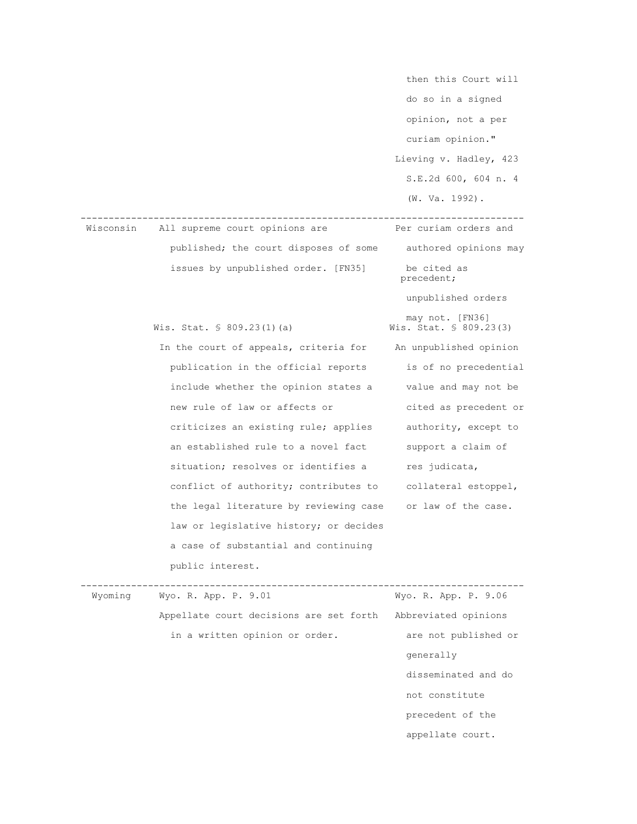then this Court will do so in a signed opinion, not a per curiam opinion." Lieving v. Hadley, 423 S.E.2d 600, 604 n. 4 (W. Va. 1992). ------------------------------------------------------------------------------- Wisconsin All supreme court opinions are published; the court disposes of some authored opinions may issues by unpublished order. [FN35] be cited as precedent; unpublished orders may not. [FN36] Wis. Stat.  $\frac{1}{5}$  809.23(1)(a) Wis. Stat.  $\frac{1}{5}$  809.23(3) In the court of appeals, criteria for An unpublished opinion publication in the official reports is of no precedential include whether the opinion states a value and may not be new rule of law or affects or cited as precedent or criticizes an existing rule; applies authority, except to an established rule to a novel fact support a claim of situation; resolves or identifies a res judicata, conflict of authority; contributes to collateral estoppel, the legal literature by reviewing case or law of the case. law or legislative history; or decides a case of substantial and continuing public interest. ------------------------------------------------------------------------------- Wyoming Wyo. R. App. P. 9.01 Wyo. R. App. P. 9.06 Appellate court decisions are set forth Abbreviated opinions in a written opinion or order. are not published or generally disseminated and do not constitute precedent of the

appellate court.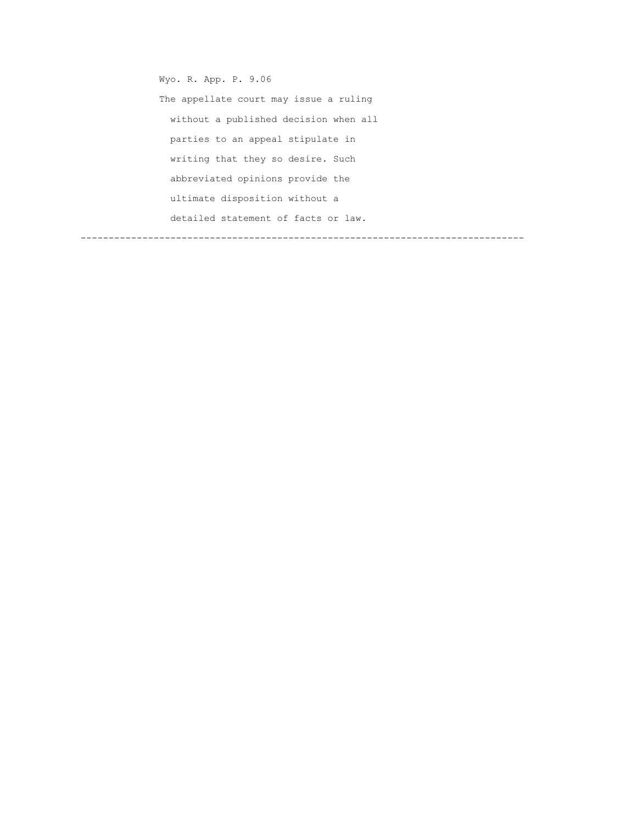Wyo. R. App. P. 9.06 The appellate court may issue a ruling without a published decision when all parties to an appeal stipulate in writing that they so desire. Such abbreviated opinions provide the ultimate disposition without a detailed statement of facts or law. -------------------------------------------------------------------------------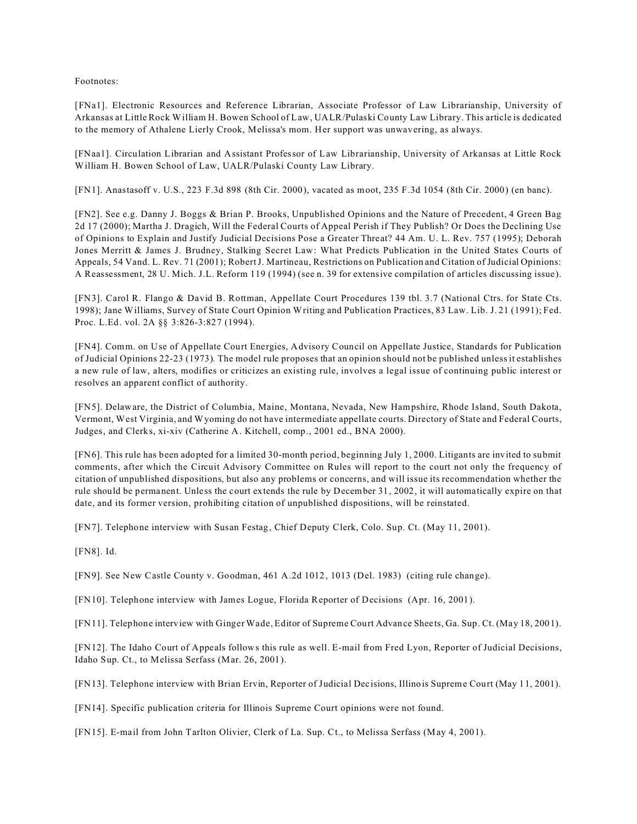Footnotes:

[FNa1]. Electronic Resources and Reference Librarian, Associate Professor of Law Librarianship, University of Arkansas at Little Rock William H. Bowen School of Law, UALR/Pulaski County Law Library. This article is dedicated to the memory of Athalene Lierly Crook, Melissa's mom. Her support was unwavering, as always.

[FNaa1]. Circulation Librarian and Assistant Professor of Law Librarianship, University of Arkansas at Little Rock William H. Bowen School of Law, UALR/Pulaski County Law Library.

[FN1]. Anastasoff v. U.S., 223 F.3d 898 (8th Cir. 2000), vacated as moot, 235 F.3d 1054 (8th Cir. 2000) (en banc).

[FN2]. See e.g. Danny J. Boggs & Brian P. Brooks, Unpublished Opinions and the Nature of Precedent, 4 Green Bag 2d 17 (2000); Martha J. Dragich, Will the Federal Courts of Appeal Perish if They Publish? Or Does the Declining Use of Opinions to Explain and Justify Judicial Decisions Pose a Greater Threat? 44 Am. U. L. Rev. 757 (1995); Deborah Jones Merritt & James J. Brudney, Stalking Secret Law: What Predicts Publication in the United States Courts of Appeals, 54 Vand. L. Rev. 71 (2001); Robert J. Martineau, Restrictions on Publication and Citation of Judicial Opinions: A Reassessment, 28 U. Mich. J.L. Reform 119 (1994) (see n. 39 for extensive compilation of articles discussing issue).

[FN3]. Carol R. Flango & David B. Rottman, Appellate Court Procedures 139 tbl. 3.7 (National Ctrs. for State Cts. 1998); Jane Williams, Survey of State Court Opinion Writing and Publication Practices, 83 Law. Lib. J. 21 (1991); Fed. Proc. L.Ed. vol. 2A §§ 3:826-3:827 (1994).

[FN4]. Comm. on Use of Appellate Court Energies, Advisory Council on Appellate Justice, Standards for Publication of Judicial Opinions 22-23 (1973). The model rule proposes that an opinion should not be published unless it establishes a new rule of law, alters, modifies or criticizes an existing rule, involves a legal issue of continuing public interest or resolves an apparent conflict of authority.

[FN5]. Delaware, the District of Columbia, Maine, Montana, Nevada, New Hampshire, Rhode Island, South Dakota, Vermont, West Virginia, and Wyoming do not have intermediate appellate courts. Directory of State and Federal Courts, Judges, and Clerks, xi-xiv (Catherine A. Kitchell, comp., 2001 ed., BNA 2000).

[FN6]. This rule has been adopted for a limited 30-month period, beginning July 1, 2000. Litigants are invited to submit comments, after which the Circuit Advisory Committee on Rules will report to the court not only the frequency of citation of unpublished dispositions, but also any problems or concerns, and will issue its recommendation whether the rule should be permanent. Unless the court extends the rule by December 31, 2002, it will automatically expire on that date, and its former version, prohibiting citation of unpublished dispositions, will be reinstated.

[FN7]. Telephone interview with Susan Festag, Chief Deputy Clerk, Colo. Sup. Ct. (May 11, 2001).

[FN8]. Id.

[FN9]. See New Castle County v. Goodman, 461 A.2d 1012, 1013 (Del. 1983) (citing rule change).

[FN10]. Telephone interview with James Logue, Florida Reporter of Decisions (Apr. 16, 2001).

[FN11]. Telephone interview with Ginger Wade, Editor of Supreme Court Advance Sheets, Ga. Sup. Ct. (May 18, 2001).

[FN12]. The Idaho Court of Appeals follows this rule as well. E-mail from Fred Lyon, Reporter of Judicial Decisions, Idaho Sup. Ct., to Melissa Serfass (Mar. 26, 2001).

[FN13]. Telephone interview with Brian Ervin, Reporter of Judicial Decisions, Illinois Supreme Court (May 11, 2001).

[FN14]. Specific publication criteria for Illinois Supreme Court opinions were not found.

[FN15]. E-mail from John Tarlton Olivier, Clerk of La. Sup. Ct., to Melissa Serfass (May 4, 2001).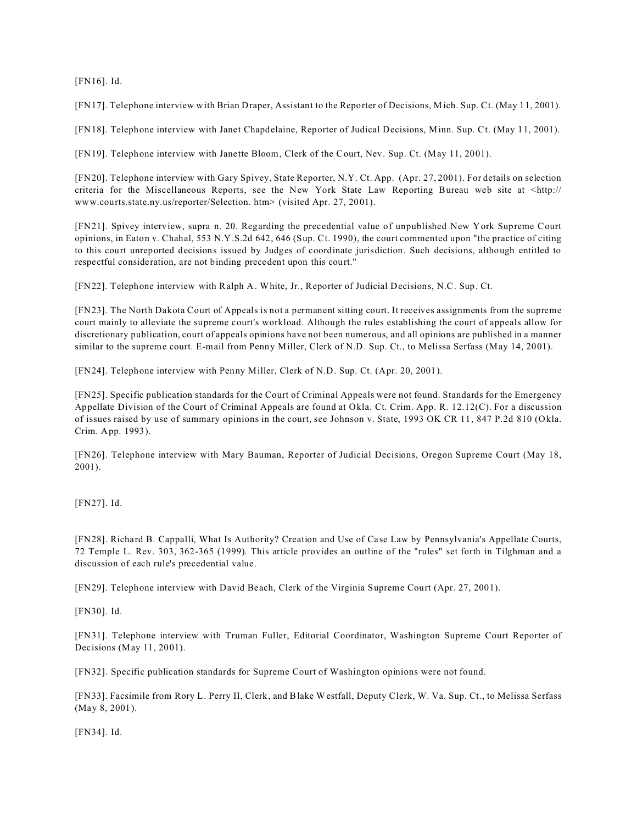[FN16]. Id.

[FN17]. Telephone interview with Brian Draper, Assistant to the Reporter of Decisions, Mich. Sup. Ct. (May 11, 2001).

[FN18]. Telephone interview with Janet Chapdelaine, Reporter of Judical Decisions, Minn. Sup. Ct. (May 11, 2001).

[FN19]. Telephone interview with Janette Bloom, Clerk of the Court, Nev. Sup. Ct. (May 11, 2001).

[FN20]. Telephone interview with Gary Spivey, State Reporter, N.Y. Ct. App. (Apr. 27, 2001). For details on selection criteria for the Miscellaneous Reports, see the New York State Law Reporting Bureau web site at <http:// www.courts.state.ny.us/reporter/Selection. htm> (visited Apr. 27, 2001).

[FN21]. Spivey interview, supra n. 20. Regarding the precedential value of unpublished New York Supreme Court opinions, in Eaton v. Chahal, 553 N.Y.S.2d 642, 646 (Sup. Ct. 1990), the court commented upon "the practice of citing to this court unreported decisions issued by Judges of coordinate jurisdiction. Such decisions, although entitled to respectful consideration, are not binding precedent upon this court."

[FN22]. Telephone interview with Ralph A. White, Jr., Reporter of Judicial Decisions, N.C. Sup. Ct.

[FN23]. The North Dakota Court of Appeals is not a permanent sitting court. It receives assignments from the supreme court mainly to alleviate the supreme court's workload. Although the rules establishing the court of appeals allow for discretionary publication, court of appeals opinions have not been numerous, and all opinions are published in a manner similar to the supreme court. E-mail from Penny Miller, Clerk of N.D. Sup. Ct., to Melissa Serfass (May 14, 2001).

[FN24]. Telephone interview with Penny Miller, Clerk of N.D. Sup. Ct. (Apr. 20, 2001).

[FN25]. Specific publication standards for the Court of Criminal Appeals were not found. Standards for the Emergency Appellate Division of the Court of Criminal Appeals are found at Okla. Ct. Crim. App. R. 12.12(C). For a discussion of issues raised by use of summary opinions in the court, see Johnson v. State, 1993 OK CR 11, 847 P.2d 810 (Okla. Crim. App. 1993).

[FN26]. Telephone interview with Mary Bauman, Reporter of Judicial Decisions, Oregon Supreme Court (May 18, 2001).

[FN27]. Id.

[FN28]. Richard B. Cappalli, What Is Authority? Creation and Use of Case Law by Pennsylvania's Appellate Courts, 72 Temple L. Rev. 303, 362-365 (1999). This article provides an outline of the "rules" set forth in Tilghman and a discussion of each rule's precedential value.

[FN29]. Telephone interview with David Beach, Clerk of the Virginia Supreme Court (Apr. 27, 2001).

[FN30]. Id.

[FN31]. Telephone interview with Truman Fuller, Editorial Coordinator, Washington Supreme Court Reporter of Decisions (May 11, 2001).

[FN32]. Specific publication standards for Supreme Court of Washington opinions were not found.

[FN33]. Facsimile from Rory L. Perry II, Clerk, and Blake Westfall, Deputy Clerk, W. Va. Sup. Ct., to Melissa Serfass (May 8, 2001).

[FN34]. Id.